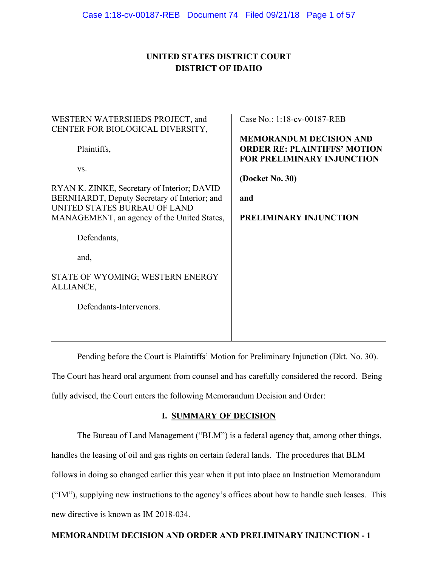# **UNITED STATES DISTRICT COURT DISTRICT OF IDAHO**

| WESTERN WATERSHEDS PROJECT, and                                                                                             | Case No.: 1:18-cv-00187-REB                                                                                |
|-----------------------------------------------------------------------------------------------------------------------------|------------------------------------------------------------------------------------------------------------|
| CENTER FOR BIOLOGICAL DIVERSITY,                                                                                            |                                                                                                            |
| Plaintiffs,                                                                                                                 | <b>MEMORANDUM DECISION AND</b><br><b>ORDER RE: PLAINTIFFS' MOTION</b><br><b>FOR PRELIMINARY INJUNCTION</b> |
| VS.                                                                                                                         |                                                                                                            |
|                                                                                                                             | (Docket No. 30)                                                                                            |
| RYAN K. ZINKE, Secretary of Interior; DAVID<br>BERNHARDT, Deputy Secretary of Interior; and<br>UNITED STATES BUREAU OF LAND | and                                                                                                        |
| MANAGEMENT, an agency of the United States,                                                                                 | PRELIMINARY INJUNCTION                                                                                     |
| Defendants,                                                                                                                 |                                                                                                            |
| and,                                                                                                                        |                                                                                                            |
| STATE OF WYOMING; WESTERN ENERGY<br>ALLIANCE,                                                                               |                                                                                                            |
| Defendants-Intervenors.                                                                                                     |                                                                                                            |
|                                                                                                                             |                                                                                                            |
|                                                                                                                             |                                                                                                            |

Pending before the Court is Plaintiffs' Motion for Preliminary Injunction (Dkt. No. 30).

The Court has heard oral argument from counsel and has carefully considered the record. Being fully advised, the Court enters the following Memorandum Decision and Order:

# **I. SUMMARY OF DECISION**

The Bureau of Land Management ("BLM") is a federal agency that, among other things, handles the leasing of oil and gas rights on certain federal lands. The procedures that BLM follows in doing so changed earlier this year when it put into place an Instruction Memorandum ("IM"), supplying new instructions to the agency's offices about how to handle such leases. This new directive is known as IM 2018-034.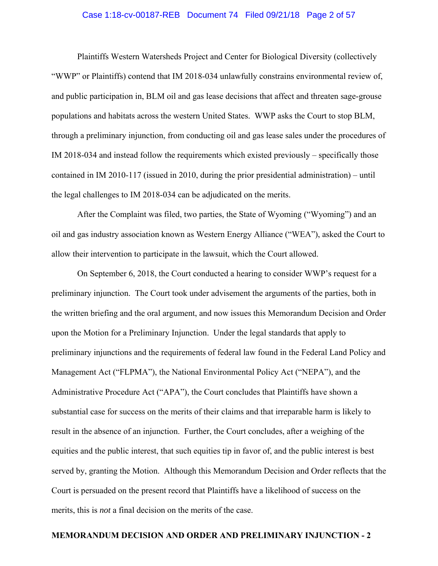#### Case 1:18-cv-00187-REB Document 74 Filed 09/21/18 Page 2 of 57

Plaintiffs Western Watersheds Project and Center for Biological Diversity (collectively "WWP" or Plaintiffs) contend that IM 2018-034 unlawfully constrains environmental review of, and public participation in, BLM oil and gas lease decisions that affect and threaten sage-grouse populations and habitats across the western United States. WWP asks the Court to stop BLM, through a preliminary injunction, from conducting oil and gas lease sales under the procedures of IM 2018-034 and instead follow the requirements which existed previously – specifically those contained in IM 2010-117 (issued in 2010, during the prior presidential administration) – until the legal challenges to IM 2018-034 can be adjudicated on the merits.

After the Complaint was filed, two parties, the State of Wyoming ("Wyoming") and an oil and gas industry association known as Western Energy Alliance ("WEA"), asked the Court to allow their intervention to participate in the lawsuit, which the Court allowed.

On September 6, 2018, the Court conducted a hearing to consider WWP's request for a preliminary injunction. The Court took under advisement the arguments of the parties, both in the written briefing and the oral argument, and now issues this Memorandum Decision and Order upon the Motion for a Preliminary Injunction. Under the legal standards that apply to preliminary injunctions and the requirements of federal law found in the Federal Land Policy and Management Act ("FLPMA"), the National Environmental Policy Act ("NEPA"), and the Administrative Procedure Act ("APA"), the Court concludes that Plaintiffs have shown a substantial case for success on the merits of their claims and that irreparable harm is likely to result in the absence of an injunction. Further, the Court concludes, after a weighing of the equities and the public interest, that such equities tip in favor of, and the public interest is best served by, granting the Motion. Although this Memorandum Decision and Order reflects that the Court is persuaded on the present record that Plaintiffs have a likelihood of success on the merits, this is *not* a final decision on the merits of the case.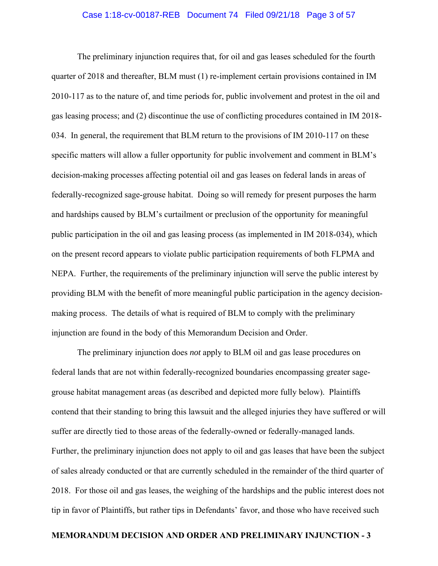#### Case 1:18-cv-00187-REB Document 74 Filed 09/21/18 Page 3 of 57

 The preliminary injunction requires that, for oil and gas leases scheduled for the fourth quarter of 2018 and thereafter, BLM must (1) re-implement certain provisions contained in IM 2010-117 as to the nature of, and time periods for, public involvement and protest in the oil and gas leasing process; and (2) discontinue the use of conflicting procedures contained in IM 2018- 034. In general, the requirement that BLM return to the provisions of IM 2010-117 on these specific matters will allow a fuller opportunity for public involvement and comment in BLM's decision-making processes affecting potential oil and gas leases on federal lands in areas of federally-recognized sage-grouse habitat. Doing so will remedy for present purposes the harm and hardships caused by BLM's curtailment or preclusion of the opportunity for meaningful public participation in the oil and gas leasing process (as implemented in IM 2018-034), which on the present record appears to violate public participation requirements of both FLPMA and NEPA. Further, the requirements of the preliminary injunction will serve the public interest by providing BLM with the benefit of more meaningful public participation in the agency decisionmaking process. The details of what is required of BLM to comply with the preliminary injunction are found in the body of this Memorandum Decision and Order.

 The preliminary injunction does *not* apply to BLM oil and gas lease procedures on federal lands that are not within federally-recognized boundaries encompassing greater sagegrouse habitat management areas (as described and depicted more fully below). Plaintiffs contend that their standing to bring this lawsuit and the alleged injuries they have suffered or will suffer are directly tied to those areas of the federally-owned or federally-managed lands. Further, the preliminary injunction does not apply to oil and gas leases that have been the subject of sales already conducted or that are currently scheduled in the remainder of the third quarter of 2018. For those oil and gas leases, the weighing of the hardships and the public interest does not tip in favor of Plaintiffs, but rather tips in Defendants' favor, and those who have received such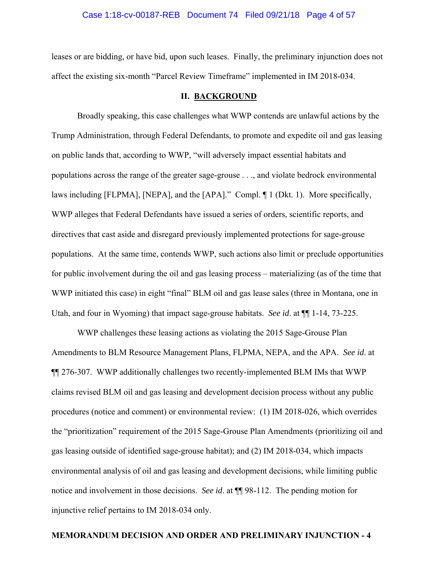#### Case 1:18-cv-00187-REB Document 74 Filed 09/21/18 Page 4 of 57

leases or are bidding, or have bid, upon such leases. Finally, the preliminary injunction does not affect the existing six-month "Parcel Review Timeframe" implemented in IM 2018-034.

#### **II. BACKGROUND**

 Broadly speaking, this case challenges what WWP contends are unlawful actions by the Trump Administration, through Federal Defendants, to promote and expedite oil and gas leasing on public lands that, according to WWP, "will adversely impact essential habitats and populations across the range of the greater sage-grouse . . ., and violate bedrock environmental laws including [FLPMA], [NEPA], and the [APA]." Compl. ¶ 1 (Dkt. 1). More specifically, WWP alleges that Federal Defendants have issued a series of orders, scientific reports, and directives that cast aside and disregard previously implemented protections for sage-grouse populations. At the same time, contends WWP, such actions also limit or preclude opportunities for public involvement during the oil and gas leasing process – materializing (as of the time that WWP initiated this case) in eight "final" BLM oil and gas lease sales (three in Montana, one in Utah, and four in Wyoming) that impact sage-grouse habitats. *See id*. at ¶¶ 1-14, 73-225.

WWP challenges these leasing actions as violating the 2015 Sage-Grouse Plan Amendments to BLM Resource Management Plans, FLPMA, NEPA, and the APA. *See id*. at ¶¶ 276-307. WWP additionally challenges two recently-implemented BLM IMs that WWP claims revised BLM oil and gas leasing and development decision process without any public procedures (notice and comment) or environmental review: (1) IM 2018-026, which overrides the "prioritization" requirement of the 2015 Sage-Grouse Plan Amendments (prioritizing oil and gas leasing outside of identified sage-grouse habitat); and (2) IM 2018-034, which impacts environmental analysis of oil and gas leasing and development decisions, while limiting public notice and involvement in those decisions. *See id*. at ¶¶ 98-112. The pending motion for injunctive relief pertains to IM 2018-034 only.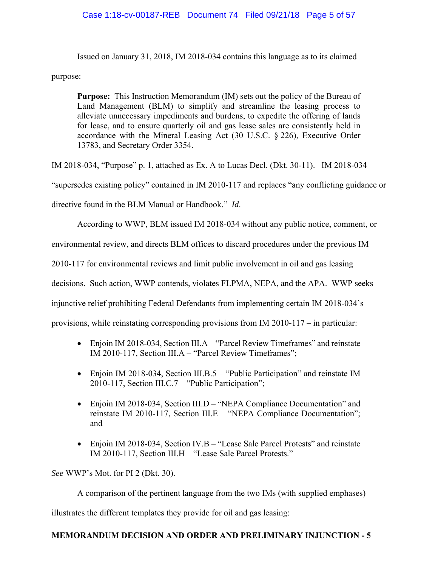# Case 1:18-cv-00187-REB Document 74 Filed 09/21/18 Page 5 of 57

Issued on January 31, 2018, IM 2018-034 contains this language as to its claimed

purpose:

**Purpose:** This Instruction Memorandum (IM) sets out the policy of the Bureau of Land Management (BLM) to simplify and streamline the leasing process to alleviate unnecessary impediments and burdens, to expedite the offering of lands for lease, and to ensure quarterly oil and gas lease sales are consistently held in accordance with the Mineral Leasing Act (30 U.S.C. § 226), Executive Order 13783, and Secretary Order 3354.

IM 2018-034, "Purpose" p. 1, attached as Ex. A to Lucas Decl. (Dkt. 30-11). IM 2018-034

"supersedes existing policy" contained in IM 2010-117 and replaces "any conflicting guidance or

directive found in the BLM Manual or Handbook." *Id*.

According to WWP, BLM issued IM 2018-034 without any public notice, comment, or

environmental review, and directs BLM offices to discard procedures under the previous IM

2010-117 for environmental reviews and limit public involvement in oil and gas leasing

decisions. Such action, WWP contends, violates FLPMA, NEPA, and the APA. WWP seeks

injunctive relief prohibiting Federal Defendants from implementing certain IM 2018-034's

provisions, while reinstating corresponding provisions from IM 2010-117 – in particular:

- Enjoin IM 2018-034, Section III.A "Parcel Review Timeframes" and reinstate IM 2010-117, Section III.A – "Parcel Review Timeframes";
- Enjoin IM 2018-034, Section III.B.5 "Public Participation" and reinstate IM 2010-117, Section III.C.7 – "Public Participation";
- Enjoin IM 2018-034, Section III.D "NEPA Compliance Documentation" and reinstate IM 2010-117, Section III.E – "NEPA Compliance Documentation"; and
- Enjoin IM 2018-034, Section IV.B "Lease Sale Parcel Protests" and reinstate IM 2010-117, Section III.H – "Lease Sale Parcel Protests."

*See* WWP's Mot. for PI 2 (Dkt. 30).

A comparison of the pertinent language from the two IMs (with supplied emphases)

illustrates the different templates they provide for oil and gas leasing: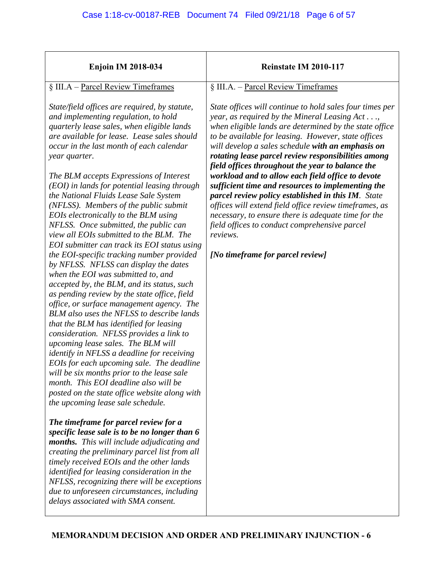| <b>Enjoin IM 2018-034</b>                                                                                                                                                                                                                                                                                                                                                                                                                                                                                                                                                                                                                                                                                                                                                                                                                                                                                                                                                                                                                                                                                                                                                                                                                                                                                                               | Reinstate IM 2010-117                                                                                                                                                                                                                                                                                                                                                                                                                                                                                                                                                                                                                                                                                                                                                        |
|-----------------------------------------------------------------------------------------------------------------------------------------------------------------------------------------------------------------------------------------------------------------------------------------------------------------------------------------------------------------------------------------------------------------------------------------------------------------------------------------------------------------------------------------------------------------------------------------------------------------------------------------------------------------------------------------------------------------------------------------------------------------------------------------------------------------------------------------------------------------------------------------------------------------------------------------------------------------------------------------------------------------------------------------------------------------------------------------------------------------------------------------------------------------------------------------------------------------------------------------------------------------------------------------------------------------------------------------|------------------------------------------------------------------------------------------------------------------------------------------------------------------------------------------------------------------------------------------------------------------------------------------------------------------------------------------------------------------------------------------------------------------------------------------------------------------------------------------------------------------------------------------------------------------------------------------------------------------------------------------------------------------------------------------------------------------------------------------------------------------------------|
| § III.A - Parcel Review Timeframes                                                                                                                                                                                                                                                                                                                                                                                                                                                                                                                                                                                                                                                                                                                                                                                                                                                                                                                                                                                                                                                                                                                                                                                                                                                                                                      | § III.A. - Parcel Review Timeframes                                                                                                                                                                                                                                                                                                                                                                                                                                                                                                                                                                                                                                                                                                                                          |
| State/field offices are required, by statute,<br>and implementing regulation, to hold<br>quarterly lease sales, when eligible lands<br>are available for lease. Lease sales should<br>occur in the last month of each calendar<br>year quarter.<br>The BLM accepts Expressions of Interest<br>(EOI) in lands for potential leasing through<br>the National Fluids Lease Sale System<br>(NFLSS). Members of the public submit<br>EOIs electronically to the BLM using<br>NFLSS. Once submitted, the public can<br>view all EOIs submitted to the BLM. The<br>EOI submitter can track its EOI status using<br>the EOI-specific tracking number provided<br>by NFLSS. NFLSS can display the dates<br>when the EOI was submitted to, and<br>accepted by, the BLM, and its status, such<br>as pending review by the state office, field<br>office, or surface management agency. The<br>BLM also uses the NFLSS to describe lands<br>that the BLM has identified for leasing<br>consideration. NFLSS provides a link to<br>upcoming lease sales. The BLM will<br><i>identify in NFLSS a deadline for receiving</i><br>EOIs for each upcoming sale. The deadline<br>will be six months prior to the lease sale<br>month. This EOI deadline also will be<br>posted on the state office website along with<br>the upcoming lease sale schedule. | State offices will continue to hold sales four times per<br>year, as required by the Mineral Leasing Act,<br>when eligible lands are determined by the state office<br>to be available for leasing. However, state offices<br>will develop a sales schedule with an emphasis on<br>rotating lease parcel review responsibilities among<br>field offices throughout the year to balance the<br>workload and to allow each field office to devote<br>sufficient time and resources to implementing the<br>parcel review policy established in this IM. State<br>offices will extend field office review timeframes, as<br>necessary, to ensure there is adequate time for the<br>field offices to conduct comprehensive parcel<br>reviews.<br>[No timeframe for parcel review] |
| The timeframe for parcel review for a<br>specific lease sale is to be no longer than 6<br><b>months.</b> This will include adjudicating and                                                                                                                                                                                                                                                                                                                                                                                                                                                                                                                                                                                                                                                                                                                                                                                                                                                                                                                                                                                                                                                                                                                                                                                             |                                                                                                                                                                                                                                                                                                                                                                                                                                                                                                                                                                                                                                                                                                                                                                              |
| creating the preliminary parcel list from all<br>timely received EOIs and the other lands                                                                                                                                                                                                                                                                                                                                                                                                                                                                                                                                                                                                                                                                                                                                                                                                                                                                                                                                                                                                                                                                                                                                                                                                                                               |                                                                                                                                                                                                                                                                                                                                                                                                                                                                                                                                                                                                                                                                                                                                                                              |
| identified for leasing consideration in the<br>NFLSS, recognizing there will be exceptions                                                                                                                                                                                                                                                                                                                                                                                                                                                                                                                                                                                                                                                                                                                                                                                                                                                                                                                                                                                                                                                                                                                                                                                                                                              |                                                                                                                                                                                                                                                                                                                                                                                                                                                                                                                                                                                                                                                                                                                                                                              |
| due to unforeseen circumstances, including<br>delays associated with SMA consent.                                                                                                                                                                                                                                                                                                                                                                                                                                                                                                                                                                                                                                                                                                                                                                                                                                                                                                                                                                                                                                                                                                                                                                                                                                                       |                                                                                                                                                                                                                                                                                                                                                                                                                                                                                                                                                                                                                                                                                                                                                                              |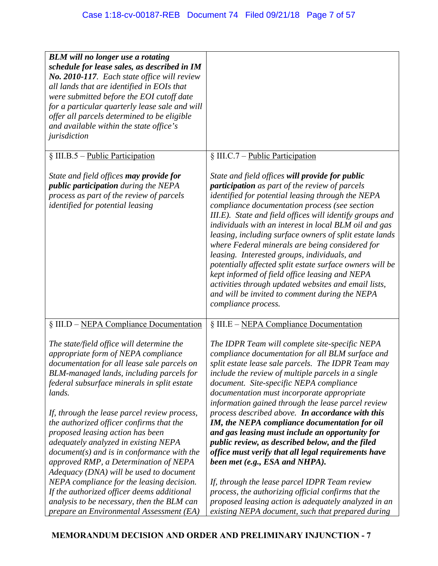| <b>BLM</b> will no longer use a rotating<br>schedule for lease sales, as described in IM<br>No. 2010-117. Each state office will review<br>all lands that are identified in EOIs that<br>were submitted before the EOI cutoff date<br>for a particular quarterly lease sale and will<br>offer all parcels determined to be eligible<br>and available within the state office's<br>jurisdiction |                                                                                                                                                                                                                                                                                                                                                                                                                                                                                                                                                                                                                                                                                                                                           |
|------------------------------------------------------------------------------------------------------------------------------------------------------------------------------------------------------------------------------------------------------------------------------------------------------------------------------------------------------------------------------------------------|-------------------------------------------------------------------------------------------------------------------------------------------------------------------------------------------------------------------------------------------------------------------------------------------------------------------------------------------------------------------------------------------------------------------------------------------------------------------------------------------------------------------------------------------------------------------------------------------------------------------------------------------------------------------------------------------------------------------------------------------|
| $\S$ III.B.5 – Public Participation                                                                                                                                                                                                                                                                                                                                                            | § III.C.7 – Public Participation                                                                                                                                                                                                                                                                                                                                                                                                                                                                                                                                                                                                                                                                                                          |
| State and field offices <b>may provide for</b><br><i>public participation during the NEPA</i><br>process as part of the review of parcels<br>identified for potential leasing                                                                                                                                                                                                                  | State and field offices will provide for public<br>participation as part of the review of parcels<br>identified for potential leasing through the NEPA<br>compliance documentation process (see section<br>III.E). State and field offices will identify groups and<br>individuals with an interest in local BLM oil and gas<br>leasing, including surface owners of split estate lands<br>where Federal minerals are being considered for<br>leasing. Interested groups, individuals, and<br>potentially affected split estate surface owners will be<br>kept informed of field office leasing and NEPA<br>activities through updated websites and email lists,<br>and will be invited to comment during the NEPA<br>compliance process. |
| § III.D – NEPA Compliance Documentation                                                                                                                                                                                                                                                                                                                                                        | § III.E – NEPA Compliance Documentation                                                                                                                                                                                                                                                                                                                                                                                                                                                                                                                                                                                                                                                                                                   |
| The state/field office will determine the<br>appropriate form of NEPA compliance<br>documentation for all lease sale parcels on<br>BLM-managed lands, including parcels for<br>federal subsurface minerals in split estate<br>lands.<br>If, through the lease parcel review process,                                                                                                           | The IDPR Team will complete site-specific NEPA<br>compliance documentation for all BLM surface and<br>split estate lease sale parcels. The IDPR Team may<br>include the review of multiple parcels in a single<br>document. Site-specific NEPA compliance<br>documentation must incorporate appropriate<br>information gained through the lease parcel review<br>process described above. In accordance with this                                                                                                                                                                                                                                                                                                                         |
| the authorized officer confirms that the<br>proposed leasing action has been<br>adequately analyzed in existing NEPA<br>$document(s)$ and is in conformance with the<br>approved RMP, a Determination of NEPA<br>Adequacy (DNA) will be used to document                                                                                                                                       | IM, the NEPA compliance documentation for oil<br>and gas leasing must include an opportunity for<br>public review, as described below, and the filed<br>office must verify that all legal requirements have<br>been met (e.g., ESA and NHPA).                                                                                                                                                                                                                                                                                                                                                                                                                                                                                             |
| NEPA compliance for the leasing decision.<br>If the authorized officer deems additional<br>analysis to be necessary, then the BLM can<br>prepare an Environmental Assessment (EA)                                                                                                                                                                                                              | If, through the lease parcel IDPR Team review<br>process, the authorizing official confirms that the<br>proposed leasing action is adequately analyzed in an<br>existing NEPA document, such that prepared during                                                                                                                                                                                                                                                                                                                                                                                                                                                                                                                         |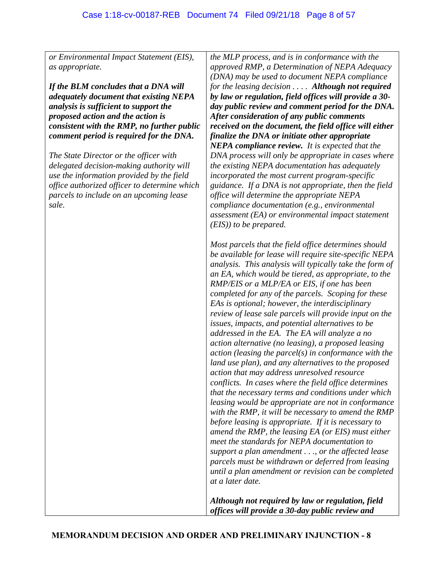*or Environmental Impact Statement (EIS), as appropriate.* 

*If the BLM concludes that a DNA will adequately document that existing NEPA analysis is sufficient to support the proposed action and the action is consistent with the RMP, no further public comment period is required for the DNA.* 

*The State Director or the officer with delegated decision-making authority will use the information provided by the field office authorized officer to determine which parcels to include on an upcoming lease sale.* 

*the MLP process, and is in conformance with the approved RMP, a Determination of NEPA Adequacy (DNA) may be used to document NEPA compliance for the leasing decision . . . . Although not required by law or regulation, field offices will provide a 30 day public review and comment period for the DNA. After consideration of any public comments received on the document, the field office will either finalize the DNA or initiate other appropriate NEPA compliance review. It is expected that the DNA process will only be appropriate in cases where the existing NEPA documentation has adequately incorporated the most current program-specific guidance. If a DNA is not appropriate, then the field office will determine the appropriate NEPA compliance documentation (e.g., environmental assessment (EA) or environmental impact statement (EIS)) to be prepared.* 

*Most parcels that the field office determines should be available for lease will require site-specific NEPA analysis. This analysis will typically take the form of an EA, which would be tiered, as appropriate, to the RMP/EIS or a MLP/EA or EIS, if one has been completed for any of the parcels. Scoping for these EAs is optional; however, the interdisciplinary review of lease sale parcels will provide input on the issues, impacts, and potential alternatives to be addressed in the EA. The EA will analyze a no action alternative (no leasing), a proposed leasing action (leasing the parcel(s) in conformance with the land use plan), and any alternatives to the proposed action that may address unresolved resource conflicts. In cases where the field office determines that the necessary terms and conditions under which leasing would be appropriate are not in conformance with the RMP, it will be necessary to amend the RMP before leasing is appropriate. If it is necessary to amend the RMP, the leasing EA (or EIS) must either meet the standards for NEPA documentation to support a plan amendment . . ., or the affected lease parcels must be withdrawn or deferred from leasing until a plan amendment or revision can be completed at a later date.* 

*Although not required by law or regulation, field offices will provide a 30-day public review and*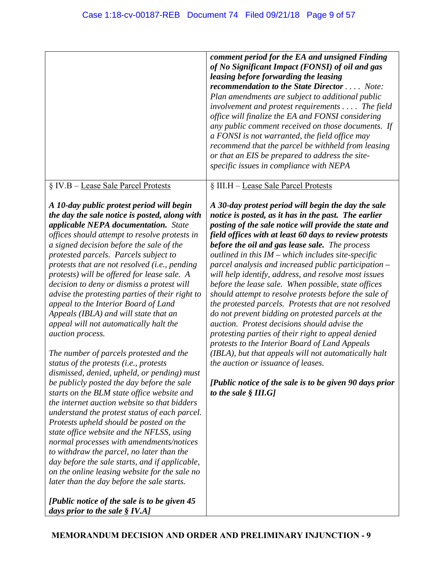| § IV.B - Lease Sale Parcel Protests<br>§ III.H - Lease Sale Parcel Protests<br>A 10-day public protest period will begin<br>the day the sale notice is posted, along with<br>applicable NEPA documentation. State<br>offices should attempt to resolve protests in<br>before the oil and gas lease sale. The process<br>a signed decision before the sale of the<br>outlined in this $IM$ – which includes site-specific<br>protested parcels. Parcels subject to<br>protests that are not resolved (i.e., pending<br>protests) will be offered for lease sale. A<br>decision to deny or dismiss a protest will<br>advise the protesting parties of their right to<br>appeal to the Interior Board of Land<br>Appeals (IBLA) and will state that an<br>appeal will not automatically halt the<br>auction. Protest decisions should advise the<br>protesting parties of their right to appeal denied<br>auction process.<br>protests to the Interior Board of Land Appeals<br>The number of parcels protested and the<br>status of the protests (i.e., protests<br>the auction or issuance of leases.<br>dismissed, denied, upheld, or pending) must<br>be publicly posted the day before the sale<br>starts on the BLM state office website and<br>to the sale $\S$ III.G]<br>the internet auction website so that bidders<br>understand the protest status of each parcel.<br>Protests upheld should be posted on the<br>state office website and the NFLSS, using<br>normal processes with amendments/notices | comment period for the EA and unsigned Finding<br>of No Significant Impact (FONSI) of oil and gas<br>leasing before forwarding the leasing<br>recommendation to the State Director  Note:<br>Plan amendments are subject to additional public<br>$involvement$ and protest requirements $\ldots$ . The field<br>office will finalize the EA and FONSI considering<br>any public comment received on those documents. If<br>a FONSI is not warranted, the field office may<br>recommend that the parcel be withheld from leasing<br>or that an EIS be prepared to address the site-<br>specific issues in compliance with NEPA                                                                    |
|-----------------------------------------------------------------------------------------------------------------------------------------------------------------------------------------------------------------------------------------------------------------------------------------------------------------------------------------------------------------------------------------------------------------------------------------------------------------------------------------------------------------------------------------------------------------------------------------------------------------------------------------------------------------------------------------------------------------------------------------------------------------------------------------------------------------------------------------------------------------------------------------------------------------------------------------------------------------------------------------------------------------------------------------------------------------------------------------------------------------------------------------------------------------------------------------------------------------------------------------------------------------------------------------------------------------------------------------------------------------------------------------------------------------------------------------------------------------------------------------------------------------|--------------------------------------------------------------------------------------------------------------------------------------------------------------------------------------------------------------------------------------------------------------------------------------------------------------------------------------------------------------------------------------------------------------------------------------------------------------------------------------------------------------------------------------------------------------------------------------------------------------------------------------------------------------------------------------------------|
|                                                                                                                                                                                                                                                                                                                                                                                                                                                                                                                                                                                                                                                                                                                                                                                                                                                                                                                                                                                                                                                                                                                                                                                                                                                                                                                                                                                                                                                                                                                 |                                                                                                                                                                                                                                                                                                                                                                                                                                                                                                                                                                                                                                                                                                  |
| to withdraw the parcel, no later than the<br>day before the sale starts, and if applicable,<br>on the online leasing website for the sale no<br>later than the day before the sale starts.<br>[Public notice of the sale is to be given 45<br>days prior to the sale $\S$ IV.A]                                                                                                                                                                                                                                                                                                                                                                                                                                                                                                                                                                                                                                                                                                                                                                                                                                                                                                                                                                                                                                                                                                                                                                                                                                 | A 30-day protest period will begin the day the sale<br>notice is posted, as it has in the past. The earlier<br>posting of the sale notice will provide the state and<br>field offices with at least 60 days to review protests<br>parcel analysis and increased public participation –<br>will help identify, address, and resolve most issues<br>before the lease sale. When possible, state offices<br>should attempt to resolve protests before the sale of<br>the protested parcels. Protests that are not resolved<br>do not prevent bidding on protested parcels at the<br>(IBLA), but that appeals will not automatically halt<br>[Public notice of the sale is to be given 90 days prior |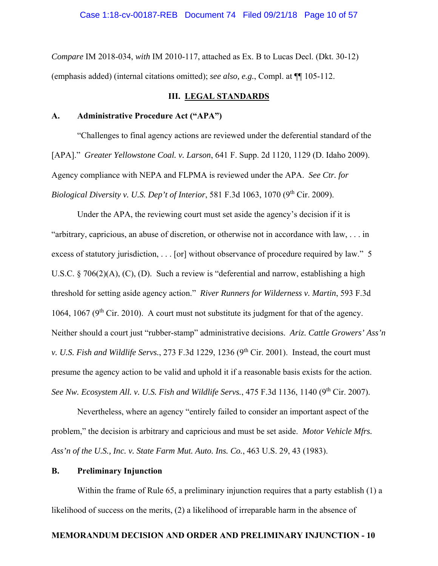*Compare* IM 2018-034, *with* IM 2010-117, attached as Ex. B to Lucas Decl. (Dkt. 30-12) (emphasis added) (internal citations omitted); *see also, e.g.*, Compl. at ¶¶ 105-112.

# **III. LEGAL STANDARDS**

### **A. Administrative Procedure Act ("APA")**

 "Challenges to final agency actions are reviewed under the deferential standard of the [APA]." *Greater Yellowstone Coal. v. Larson*, 641 F. Supp. 2d 1120, 1129 (D. Idaho 2009). Agency compliance with NEPA and FLPMA is reviewed under the APA. *See Ctr. for Biological Diversity v. U.S. Dep't of Interior*, 581 F.3d 1063, 1070 (9<sup>th</sup> Cir. 2009).

 Under the APA, the reviewing court must set aside the agency's decision if it is "arbitrary, capricious, an abuse of discretion, or otherwise not in accordance with law, . . . in excess of statutory jurisdiction, . . . [or] without observance of procedure required by law." 5 U.S.C. § 706(2)(A), (C), (D). Such a review is "deferential and narrow, establishing a high threshold for setting aside agency action." *River Runners for Wilderness v. Martin*, 593 F.3d 1064, 1067 ( $9<sup>th</sup>$  Cir. 2010). A court must not substitute its judgment for that of the agency. Neither should a court just "rubber-stamp" administrative decisions. *Ariz. Cattle Growers' Ass'n v. U.S. Fish and Wildlife Servs.,* 273 F.3d 1229, 1236 (9<sup>th</sup> Cir. 2001). Instead, the court must presume the agency action to be valid and uphold it if a reasonable basis exists for the action. See Nw. Ecosystem All. v. U.S. Fish and Wildlife Servs., 475 F.3d 1136, 1140 (9<sup>th</sup> Cir. 2007).

 Nevertheless, where an agency "entirely failed to consider an important aspect of the problem," the decision is arbitrary and capricious and must be set aside. *Motor Vehicle Mfrs. Ass'n of the U.S., Inc. v. State Farm Mut. Auto. Ins. Co.*, 463 U.S. 29, 43 (1983).

## **B. Preliminary Injunction**

 Within the frame of Rule 65, a preliminary injunction requires that a party establish (1) a likelihood of success on the merits, (2) a likelihood of irreparable harm in the absence of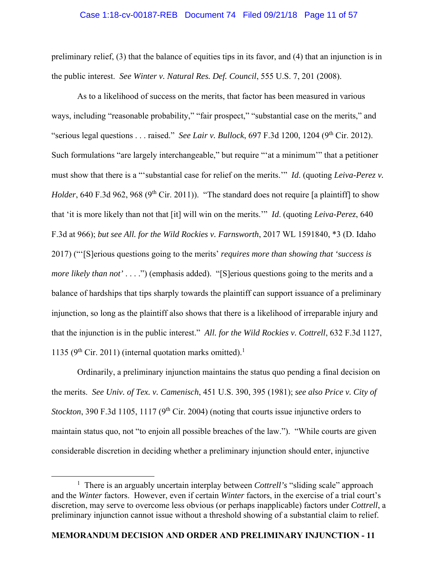#### Case 1:18-cv-00187-REB Document 74 Filed 09/21/18 Page 11 of 57

preliminary relief, (3) that the balance of equities tips in its favor, and (4) that an injunction is in the public interest. *See Winter v. Natural Res. Def. Council*, 555 U.S. 7, 201 (2008).

 As to a likelihood of success on the merits, that factor has been measured in various ways, including "reasonable probability," "fair prospect," "substantial case on the merits," and "serious legal questions . . . raised." *See Lair v. Bullock*, 697 F.3d 1200, 1204 (9<sup>th</sup> Cir. 2012). Such formulations "are largely interchangeable," but require "'at a minimum'" that a petitioner must show that there is a "'substantial case for relief on the merits.'" *Id*. (quoting *Leiva-Perez v. Holder*, 640 F.3d 962, 968 (9<sup>th</sup> Cir. 2011)). "The standard does not require [a plaintiff] to show that 'it is more likely than not that [it] will win on the merits.'" *Id*. (quoting *Leiva-Perez*, 640 F.3d at 966); *but see All. for the Wild Rockies v. Farnsworth*, 2017 WL 1591840, \*3 (D. Idaho 2017) ("'[S]erious questions going to the merits' *requires more than showing that 'success is more likely than not'* . . . .") (emphasis added). "[S]erious questions going to the merits and a balance of hardships that tips sharply towards the plaintiff can support issuance of a preliminary injunction, so long as the plaintiff also shows that there is a likelihood of irreparable injury and that the injunction is in the public interest." *All. for the Wild Rockies v. Cottrell*, 632 F.3d 1127, 1135 ( $9<sup>th</sup>$  Cir. 2011) (internal quotation marks omitted).<sup>1</sup>

 Ordinarily, a preliminary injunction maintains the status quo pending a final decision on the merits. *See Univ. of Tex. v. Camenisch*, 451 U.S. 390, 395 (1981); *see also Price v. City of Stockton*, 390 F.3d 1105, 1117 (9<sup>th</sup> Cir. 2004) (noting that courts issue injunctive orders to maintain status quo, not "to enjoin all possible breaches of the law."). "While courts are given considerable discretion in deciding whether a preliminary injunction should enter, injunctive

 $\overline{\phantom{a}1}$ <sup>1</sup> There is an arguably uncertain interplay between *Cottrell's* "sliding scale" approach and the *Winter* factors. However, even if certain *Winter* factors, in the exercise of a trial court's discretion, may serve to overcome less obvious (or perhaps inapplicable) factors under *Cottrell*, a preliminary injunction cannot issue without a threshold showing of a substantial claim to relief.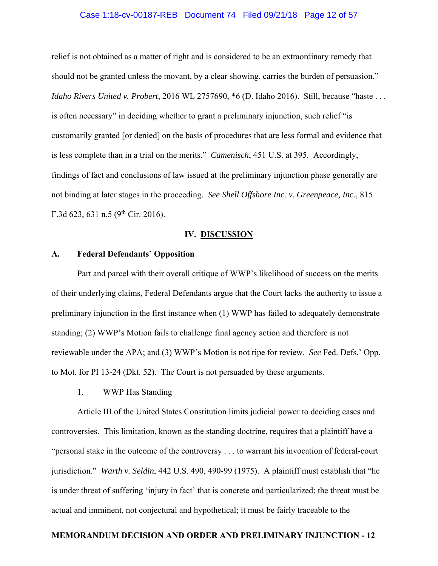#### Case 1:18-cv-00187-REB Document 74 Filed 09/21/18 Page 12 of 57

relief is not obtained as a matter of right and is considered to be an extraordinary remedy that should not be granted unless the movant, by a clear showing, carries the burden of persuasion." *Idaho Rivers United v. Probert*, 2016 WL 2757690, \*6 (D. Idaho 2016). Still, because "haste . . . is often necessary" in deciding whether to grant a preliminary injunction, such relief "is customarily granted [or denied] on the basis of procedures that are less formal and evidence that is less complete than in a trial on the merits." *Camenisch*, 451 U.S. at 395. Accordingly, findings of fact and conclusions of law issued at the preliminary injunction phase generally are not binding at later stages in the proceeding. *See Shell Offshore Inc. v. Greenpeace, Inc.*, 815 F.3d 623, 631 n.5 (9<sup>th</sup> Cir. 2016).

#### **IV. DISCUSSION**

#### **A. Federal Defendants' Opposition**

 Part and parcel with their overall critique of WWP's likelihood of success on the merits of their underlying claims, Federal Defendants argue that the Court lacks the authority to issue a preliminary injunction in the first instance when (1) WWP has failed to adequately demonstrate standing; (2) WWP's Motion fails to challenge final agency action and therefore is not reviewable under the APA; and (3) WWP's Motion is not ripe for review. *See* Fed. Defs.' Opp. to Mot. for PI 13-24 (Dkt. 52). The Court is not persuaded by these arguments.

## 1. WWP Has Standing

 Article III of the United States Constitution limits judicial power to deciding cases and controversies. This limitation, known as the standing doctrine, requires that a plaintiff have a "personal stake in the outcome of the controversy . . . to warrant his invocation of federal-court jurisdiction." *Warth v. Seldin*, 442 U.S. 490, 490-99 (1975). A plaintiff must establish that "he is under threat of suffering 'injury in fact' that is concrete and particularized; the threat must be actual and imminent, not conjectural and hypothetical; it must be fairly traceable to the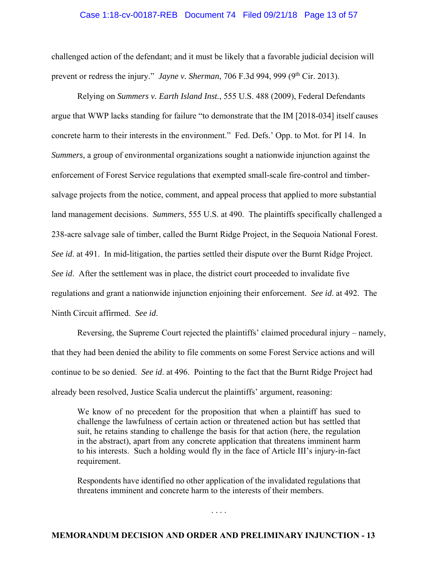#### Case 1:18-cv-00187-REB Document 74 Filed 09/21/18 Page 13 of 57

challenged action of the defendant; and it must be likely that a favorable judicial decision will prevent or redress the injury." *Jayne v. Sherman*, 706 F.3d 994, 999 (9<sup>th</sup> Cir. 2013).

 Relying on *Summers v. Earth Island Inst.*, 555 U.S. 488 (2009), Federal Defendants argue that WWP lacks standing for failure "to demonstrate that the IM [2018-034] itself causes concrete harm to their interests in the environment." Fed. Defs.' Opp. to Mot. for PI 14. In *Summers*, a group of environmental organizations sought a nationwide injunction against the enforcement of Forest Service regulations that exempted small-scale fire-control and timbersalvage projects from the notice, comment, and appeal process that applied to more substantial land management decisions. *Summers*, 555 U.S. at 490. The plaintiffs specifically challenged a 238-acre salvage sale of timber, called the Burnt Ridge Project, in the Sequoia National Forest. *See id*. at 491. In mid-litigation, the parties settled their dispute over the Burnt Ridge Project. *See id*. After the settlement was in place, the district court proceeded to invalidate five regulations and grant a nationwide injunction enjoining their enforcement. *See id*. at 492. The Ninth Circuit affirmed. *See id*.

 Reversing, the Supreme Court rejected the plaintiffs' claimed procedural injury – namely, that they had been denied the ability to file comments on some Forest Service actions and will continue to be so denied. *See id*. at 496. Pointing to the fact that the Burnt Ridge Project had already been resolved, Justice Scalia undercut the plaintiffs' argument, reasoning:

We know of no precedent for the proposition that when a plaintiff has sued to challenge the lawfulness of certain action or threatened action but has settled that suit, he retains standing to challenge the basis for that action (here, the regulation in the abstract), apart from any concrete application that threatens imminent harm to his interests. Such a holding would fly in the face of Article III's injury-in-fact requirement.

Respondents have identified no other application of the invalidated regulations that threatens imminent and concrete harm to the interests of their members.

. . . .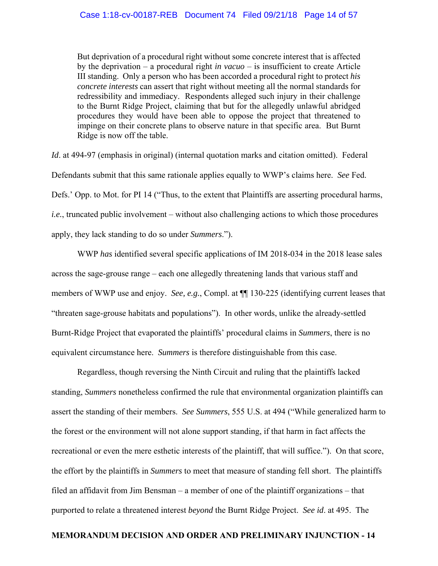But deprivation of a procedural right without some concrete interest that is affected by the deprivation – a procedural right *in vacuo* – is insufficient to create Article III standing. Only a person who has been accorded a procedural right to protect *his concrete interests* can assert that right without meeting all the normal standards for redressibility and immediacy. Respondents alleged such injury in their challenge to the Burnt Ridge Project, claiming that but for the allegedly unlawful abridged procedures they would have been able to oppose the project that threatened to impinge on their concrete plans to observe nature in that specific area. But Burnt Ridge is now off the table.

*Id*. at 494-97 (emphasis in original) (internal quotation marks and citation omitted). Federal Defendants submit that this same rationale applies equally to WWP's claims here. *See* Fed. Defs.' Opp. to Mot. for PI 14 ("Thus, to the extent that Plaintiffs are asserting procedural harms, *i.e.*, truncated public involvement – without also challenging actions to which those procedures apply, they lack standing to do so under *Summers*.").

 WWP *has* identified several specific applications of IM 2018-034 in the 2018 lease sales across the sage-grouse range – each one allegedly threatening lands that various staff and members of WWP use and enjoy. *See, e.g.*, Compl. at ¶¶ 130-225 (identifying current leases that "threaten sage-grouse habitats and populations"). In other words, unlike the already-settled Burnt-Ridge Project that evaporated the plaintiffs' procedural claims in *Summers*, there is no equivalent circumstance here. *Summers* is therefore distinguishable from this case.

 Regardless, though reversing the Ninth Circuit and ruling that the plaintiffs lacked standing, *Summers* nonetheless confirmed the rule that environmental organization plaintiffs can assert the standing of their members. *See Summers*, 555 U.S. at 494 ("While generalized harm to the forest or the environment will not alone support standing, if that harm in fact affects the recreational or even the mere esthetic interests of the plaintiff, that will suffice."). On that score, the effort by the plaintiffs in *Summers* to meet that measure of standing fell short. The plaintiffs filed an affidavit from Jim Bensman – a member of one of the plaintiff organizations – that purported to relate a threatened interest *beyond* the Burnt Ridge Project. *See id*. at 495. The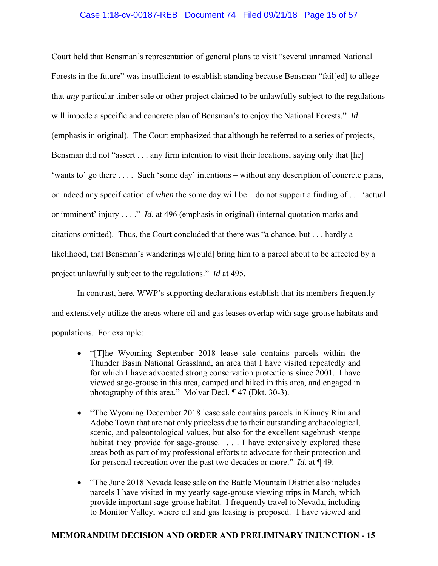# Case 1:18-cv-00187-REB Document 74 Filed 09/21/18 Page 15 of 57

Court held that Bensman's representation of general plans to visit "several unnamed National Forests in the future" was insufficient to establish standing because Bensman "fail[ed] to allege that *any* particular timber sale or other project claimed to be unlawfully subject to the regulations will impede a specific and concrete plan of Bensman's to enjoy the National Forests." *Id*. (emphasis in original). The Court emphasized that although he referred to a series of projects, Bensman did not "assert . . . any firm intention to visit their locations, saying only that [he] 'wants to' go there . . . . Such 'some day' intentions – without any description of concrete plans, or indeed any specification of *when* the some day will be – do not support a finding of . . . 'actual or imminent' injury . . . ." *Id*. at 496 (emphasis in original) (internal quotation marks and citations omitted). Thus, the Court concluded that there was "a chance, but . . . hardly a likelihood, that Bensman's wanderings w[ould] bring him to a parcel about to be affected by a project unlawfully subject to the regulations." *Id* at 495.

 In contrast, here, WWP's supporting declarations establish that its members frequently and extensively utilize the areas where oil and gas leases overlap with sage-grouse habitats and populations. For example:

- "[T]he Wyoming September 2018 lease sale contains parcels within the Thunder Basin National Grassland, an area that I have visited repeatedly and for which I have advocated strong conservation protections since 2001. I have viewed sage-grouse in this area, camped and hiked in this area, and engaged in photography of this area." Molvar Decl. ¶ 47 (Dkt. 30-3).
- "The Wyoming December 2018 lease sale contains parcels in Kinney Rim and Adobe Town that are not only priceless due to their outstanding archaeological, scenic, and paleontological values, but also for the excellent sagebrush steppe habitat they provide for sage-grouse. . . . I have extensively explored these areas both as part of my professional efforts to advocate for their protection and for personal recreation over the past two decades or more." *Id*. at ¶ 49.
- "The June 2018 Nevada lease sale on the Battle Mountain District also includes parcels I have visited in my yearly sage-grouse viewing trips in March, which provide important sage-grouse habitat. I frequently travel to Nevada, including to Monitor Valley, where oil and gas leasing is proposed. I have viewed and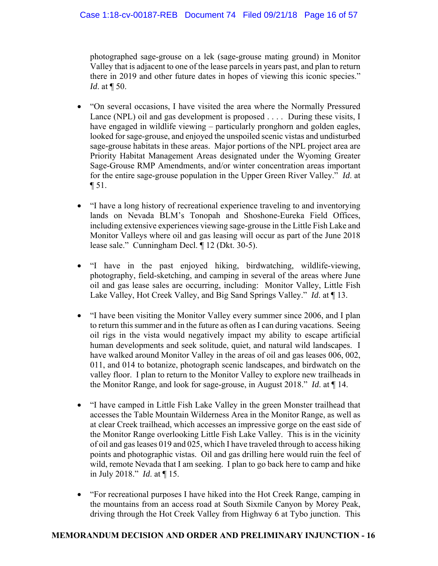photographed sage-grouse on a lek (sage-grouse mating ground) in Monitor Valley that is adjacent to one of the lease parcels in years past, and plan to return there in 2019 and other future dates in hopes of viewing this iconic species." *Id.* at  $\P$  50.

- "On several occasions, I have visited the area where the Normally Pressured Lance (NPL) oil and gas development is proposed . . . . During these visits, I have engaged in wildlife viewing – particularly pronghorn and golden eagles, looked for sage-grouse, and enjoyed the unspoiled scenic vistas and undisturbed sage-grouse habitats in these areas. Major portions of the NPL project area are Priority Habitat Management Areas designated under the Wyoming Greater Sage-Grouse RMP Amendments, and/or winter concentration areas important for the entire sage-grouse population in the Upper Green River Valley." *Id*. at ¶ 51.
- "I have a long history of recreational experience traveling to and inventorying lands on Nevada BLM's Tonopah and Shoshone-Eureka Field Offices, including extensive experiences viewing sage-grouse in the Little Fish Lake and Monitor Valleys where oil and gas leasing will occur as part of the June 2018 lease sale." Cunningham Decl. ¶ 12 (Dkt. 30-5).
- "I have in the past enjoyed hiking, birdwatching, wildlife-viewing, photography, field-sketching, and camping in several of the areas where June oil and gas lease sales are occurring, including: Monitor Valley, Little Fish Lake Valley, Hot Creek Valley, and Big Sand Springs Valley." *Id*. at ¶ 13.
- "I have been visiting the Monitor Valley every summer since 2006, and I plan to return this summer and in the future as often as I can during vacations. Seeing oil rigs in the vista would negatively impact my ability to escape artificial human developments and seek solitude, quiet, and natural wild landscapes. I have walked around Monitor Valley in the areas of oil and gas leases 006, 002, 011, and 014 to botanize, photograph scenic landscapes, and birdwatch on the valley floor. I plan to return to the Monitor Valley to explore new trailheads in the Monitor Range, and look for sage-grouse, in August 2018." *Id*. at ¶ 14.
- "I have camped in Little Fish Lake Valley in the green Monster trailhead that accesses the Table Mountain Wilderness Area in the Monitor Range, as well as at clear Creek trailhead, which accesses an impressive gorge on the east side of the Monitor Range overlooking Little Fish Lake Valley. This is in the vicinity of oil and gas leases 019 and 025, which I have traveled through to access hiking points and photographic vistas. Oil and gas drilling here would ruin the feel of wild, remote Nevada that I am seeking. I plan to go back here to camp and hike in July 2018." *Id*. at ¶ 15.
- "For recreational purposes I have hiked into the Hot Creek Range, camping in the mountains from an access road at South Sixmile Canyon by Morey Peak, driving through the Hot Creek Valley from Highway 6 at Tybo junction. This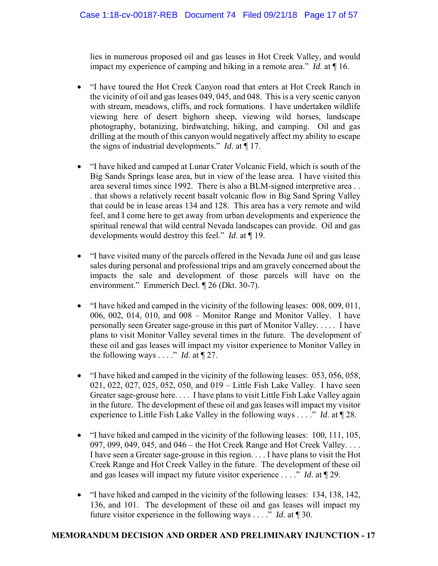lies in numerous proposed oil and gas leases in Hot Creek Valley, and would impact my experience of camping and hiking in a remote area." *Id*. at ¶ 16.

- "I have toured the Hot Creek Canyon road that enters at Hot Creek Ranch in the vicinity of oil and gas leases 049, 045, and 048. This is a very scenic canyon with stream, meadows, cliffs, and rock formations. I have undertaken wildlife viewing here of desert bighorn sheep, viewing wild horses, landscape photography, botanizing, birdwatching, hiking, and camping. Oil and gas drilling at the mouth of this canyon would negatively affect my ability to escape the signs of industrial developments." *Id*. at ¶ 17.
- "I have hiked and camped at Lunar Crater Volcanic Field, which is south of the Big Sands Springs lease area, but in view of the lease area. I have visited this area several times since 1992. There is also a BLM-signed interpretive area . . . that shows a relatively recent basalt volcanic flow in Big Sand Spring Valley that could be in lease areas 134 and 128. This area has a very remote and wild feel, and I come here to get away from urban developments and experience the spiritual renewal that wild central Nevada landscapes can provide. Oil and gas developments would destroy this feel." *Id*. at ¶ 19.
- "I have visited many of the parcels offered in the Nevada June oil and gas lease sales during personal and professional trips and am gravely concerned about the impacts the sale and development of those parcels will have on the environment." Emmerich Decl. ¶ 26 (Dkt. 30-7).
- "I have hiked and camped in the vicinity of the following leases: 008, 009, 011, 006, 002, 014, 010, and 008 – Monitor Range and Monitor Valley. I have personally seen Greater sage-grouse in this part of Monitor Valley. . . . . I have plans to visit Monitor Valley several times in the future. The development of these oil and gas leases will impact my visitor experience to Monitor Valley in the following ways . . . ." *Id.* at  $\P$  27.
- "I have hiked and camped in the vicinity of the following leases: 053, 056, 058, 021, 022, 027, 025, 052, 050, and 019 – Little Fish Lake Valley. I have seen Greater sage-grouse here. . . . I have plans to visit Little Fish Lake Valley again in the future. The development of these oil and gas leases will impact my visitor experience to Little Fish Lake Valley in the following ways . . . ." *Id*. at ¶ 28.
- $\bullet$  "I have hiked and camped in the vicinity of the following leases: 100, 111, 105, 097, 099, 049, 045, and 046 – the Hot Creek Range and Hot Creek Valley. . . . I have seen a Greater sage-grouse in this region. . . . I have plans to visit the Hot Creek Range and Hot Creek Valley in the future. The development of these oil and gas leases will impact my future visitor experience . . . ." *Id*. at ¶ 29.
- "I have hiked and camped in the vicinity of the following leases: 134, 138, 142, 136, and 101. The development of these oil and gas leases will impact my future visitor experience in the following ways . . . ." *Id*. at ¶ 30.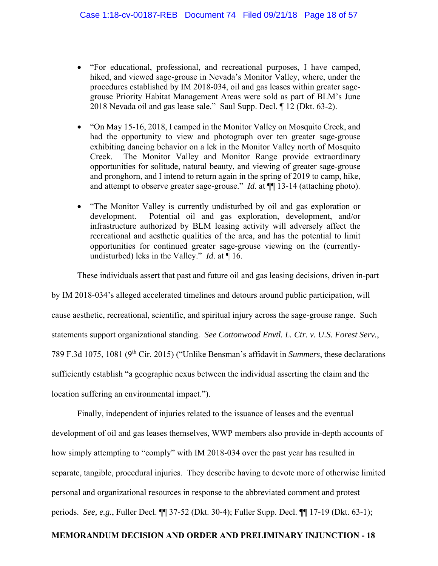- "For educational, professional, and recreational purposes, I have camped, hiked, and viewed sage-grouse in Nevada's Monitor Valley, where, under the procedures established by IM 2018-034, oil and gas leases within greater sagegrouse Priority Habitat Management Areas were sold as part of BLM's June 2018 Nevada oil and gas lease sale." Saul Supp. Decl. ¶ 12 (Dkt. 63-2).
- "On May 15-16, 2018, I camped in the Monitor Valley on Mosquito Creek, and had the opportunity to view and photograph over ten greater sage-grouse exhibiting dancing behavior on a lek in the Monitor Valley north of Mosquito Creek. The Monitor Valley and Monitor Range provide extraordinary opportunities for solitude, natural beauty, and viewing of greater sage-grouse and pronghorn, and I intend to return again in the spring of 2019 to camp, hike, and attempt to observe greater sage-grouse." *Id*. at ¶¶ 13-14 (attaching photo).
- "The Monitor Valley is currently undisturbed by oil and gas exploration or development. Potential oil and gas exploration, development, and/or infrastructure authorized by BLM leasing activity will adversely affect the recreational and aesthetic qualities of the area, and has the potential to limit opportunities for continued greater sage-grouse viewing on the (currentlyundisturbed) leks in the Valley." *Id*. at ¶ 16.

These individuals assert that past and future oil and gas leasing decisions, driven in-part

by IM 2018-034's alleged accelerated timelines and detours around public participation, will cause aesthetic, recreational, scientific, and spiritual injury across the sage-grouse range. Such statements support organizational standing. *See Cottonwood Envtl. L. Ctr. v. U.S. Forest Serv.*, 789 F.3d 1075, 1081 (9th Cir. 2015) ("Unlike Bensman's affidavit in *Summers*, these declarations sufficiently establish "a geographic nexus between the individual asserting the claim and the location suffering an environmental impact.").

 Finally, independent of injuries related to the issuance of leases and the eventual development of oil and gas leases themselves, WWP members also provide in-depth accounts of how simply attempting to "comply" with IM 2018-034 over the past year has resulted in separate, tangible, procedural injuries. They describe having to devote more of otherwise limited personal and organizational resources in response to the abbreviated comment and protest periods. *See, e.g.*, Fuller Decl. ¶¶ 37-52 (Dkt. 30-4); Fuller Supp. Decl. ¶¶ 17-19 (Dkt. 63-1);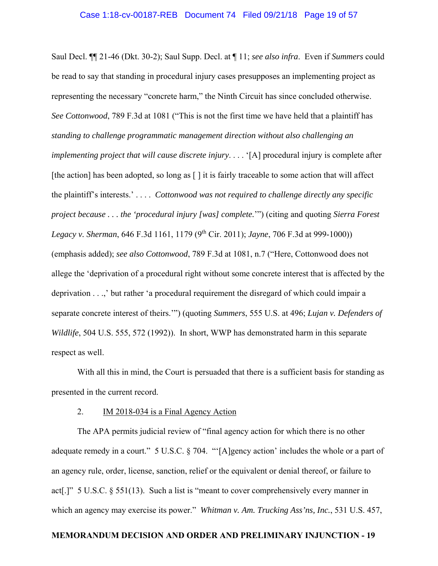Saul Decl. ¶¶ 21-46 (Dkt. 30-2); Saul Supp. Decl. at ¶ 11; *see also infra*. Even if *Summers* could be read to say that standing in procedural injury cases presupposes an implementing project as representing the necessary "concrete harm," the Ninth Circuit has since concluded otherwise. *See Cottonwood*, 789 F.3d at 1081 ("This is not the first time we have held that a plaintiff has *standing to challenge programmatic management direction without also challenging an implementing project that will cause discrete injury....* '[A] procedural injury is complete after [the action] has been adopted, so long as [ ] it is fairly traceable to some action that will affect the plaintiff's interests.' . . . . *Cottonwood was not required to challenge directly any specific project because . . . the 'procedural injury [was] complete.*'") (citing and quoting *Sierra Forest Legacy v. Sherman*, 646 F.3d 1161, 1179 (9th Cir. 2011); *Jayne*, 706 F.3d at 999-1000)) (emphasis added); *see also Cottonwood*, 789 F.3d at 1081, n.7 ("Here, Cottonwood does not allege the 'deprivation of a procedural right without some concrete interest that is affected by the deprivation . . .,' but rather 'a procedural requirement the disregard of which could impair a separate concrete interest of theirs.'") (quoting *Summers*, 555 U.S. at 496; *Lujan v. Defenders of Wildlife*, 504 U.S. 555, 572 (1992)). In short, WWP has demonstrated harm in this separate respect as well.

 With all this in mind, the Court is persuaded that there is a sufficient basis for standing as presented in the current record.

### 2. IM 2018-034 is a Final Agency Action

 The APA permits judicial review of "final agency action for which there is no other adequate remedy in a court." 5 U.S.C. § 704. "'[A]gency action' includes the whole or a part of an agency rule, order, license, sanction, relief or the equivalent or denial thereof, or failure to act[.]" 5 U.S.C. § 551(13). Such a list is "meant to cover comprehensively every manner in which an agency may exercise its power." *Whitman v. Am. Trucking Ass'ns, Inc.*, 531 U.S. 457,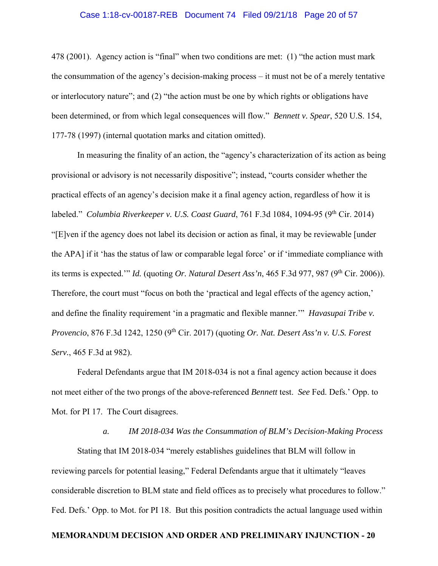### Case 1:18-cv-00187-REB Document 74 Filed 09/21/18 Page 20 of 57

478 (2001). Agency action is "final" when two conditions are met: (1) "the action must mark the consummation of the agency's decision-making process – it must not be of a merely tentative or interlocutory nature"; and (2) "the action must be one by which rights or obligations have been determined, or from which legal consequences will flow." *Bennett v. Spear*, 520 U.S. 154, 177-78 (1997) (internal quotation marks and citation omitted).

 In measuring the finality of an action, the "agency's characterization of its action as being provisional or advisory is not necessarily dispositive"; instead, "courts consider whether the practical effects of an agency's decision make it a final agency action, regardless of how it is labeled." *Columbia Riverkeeper v. U.S. Coast Guard*, 761 F.3d 1084, 1094-95 (9<sup>th</sup> Cir. 2014) "[E]ven if the agency does not label its decision or action as final, it may be reviewable [under the APA] if it 'has the status of law or comparable legal force' or if 'immediate compliance with its terms is expected.'" *Id.* (quoting *Or. Natural Desert Ass'n,* 465 F.3d 977, 987 (9<sup>th</sup> Cir. 2006)). Therefore, the court must "focus on both the 'practical and legal effects of the agency action,' and define the finality requirement 'in a pragmatic and flexible manner.'" *Havasupai Tribe v. Provencio*, 876 F.3d 1242, 1250 (9th Cir. 2017) (quoting *Or. Nat. Desert Ass'n v. U.S. Forest Serv.*, 465 F.3d at 982).

 Federal Defendants argue that IM 2018-034 is not a final agency action because it does not meet either of the two prongs of the above-referenced *Bennett* test. *See* Fed. Defs.' Opp. to Mot. for PI 17. The Court disagrees.

#### *a. IM 2018-034 Was the Consummation of BLM's Decision-Making Process*

 Stating that IM 2018-034 "merely establishes guidelines that BLM will follow in reviewing parcels for potential leasing," Federal Defendants argue that it ultimately "leaves considerable discretion to BLM state and field offices as to precisely what procedures to follow." Fed. Defs.' Opp. to Mot. for PI 18. But this position contradicts the actual language used within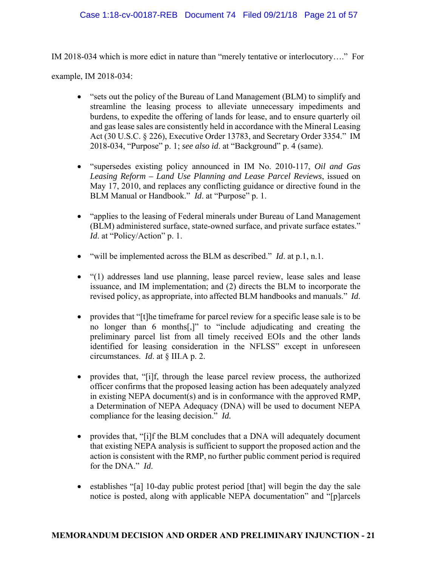# Case 1:18-cv-00187-REB Document 74 Filed 09/21/18 Page 21 of 57

IM 2018-034 which is more edict in nature than "merely tentative or interlocutory…." For

example, IM 2018-034:

- "sets out the policy of the Bureau of Land Management (BLM) to simplify and streamline the leasing process to alleviate unnecessary impediments and burdens, to expedite the offering of lands for lease, and to ensure quarterly oil and gas lease sales are consistently held in accordance with the Mineral Leasing Act (30 U.S.C. § 226), Executive Order 13783, and Secretary Order 3354." IM 2018-034, "Purpose" p. 1; *see also id*. at "Background" p. 4 (same).
- "supersedes existing policy announced in IM No. 2010-117, *Oil and Gas Leasing Reform – Land Use Planning and Lease Parcel Reviews*, issued on May 17, 2010, and replaces any conflicting guidance or directive found in the BLM Manual or Handbook." *Id*. at "Purpose" p. 1.
- "applies to the leasing of Federal minerals under Bureau of Land Management (BLM) administered surface, state-owned surface, and private surface estates." *Id.* at "Policy/Action" p. 1.
- "will be implemented across the BLM as described." *Id*. at p.1, n.1.
- "(1) addresses land use planning, lease parcel review, lease sales and lease issuance, and IM implementation; and (2) directs the BLM to incorporate the revised policy, as appropriate, into affected BLM handbooks and manuals." *Id*.
- provides that "[t]he timeframe for parcel review for a specific lease sale is to be no longer than 6 months[,]" to "include adjudicating and creating the preliminary parcel list from all timely received EOIs and the other lands identified for leasing consideration in the NFLSS" except in unforeseen circumstances. *Id*. at § III.A p. 2.
- provides that, "[i]f, through the lease parcel review process, the authorized officer confirms that the proposed leasing action has been adequately analyzed in existing NEPA document(s) and is in conformance with the approved RMP, a Determination of NEPA Adequacy (DNA) will be used to document NEPA compliance for the leasing decision." *Id.*
- provides that, "[i]f the BLM concludes that a DNA will adequately document that existing NEPA analysis is sufficient to support the proposed action and the action is consistent with the RMP, no further public comment period is required for the DNA." *Id*.
- establishes "[a] 10-day public protest period [that] will begin the day the sale notice is posted, along with applicable NEPA documentation" and "[p]arcels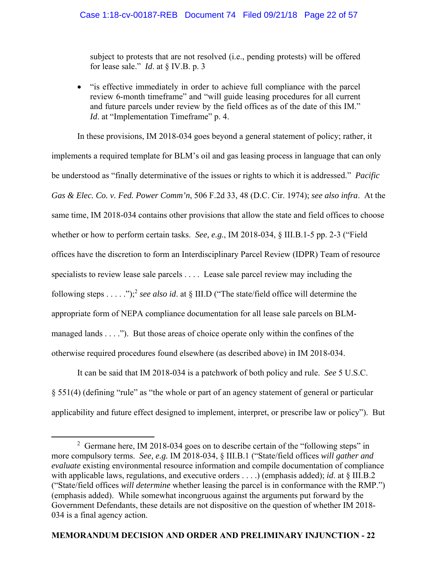subject to protests that are not resolved (i.e., pending protests) will be offered for lease sale." *Id*. at § IV.B. p. 3

 "is effective immediately in order to achieve full compliance with the parcel review 6-month timeframe" and "will guide leasing procedures for all current and future parcels under review by the field offices as of the date of this IM." *Id.* at "Implementation Timeframe" p. 4.

 In these provisions, IM 2018-034 goes beyond a general statement of policy; rather, it implements a required template for BLM's oil and gas leasing process in language that can only be understood as "finally determinative of the issues or rights to which it is addressed." *Pacific Gas & Elec. Co. v. Fed. Power Comm'n*, 506 F.2d 33, 48 (D.C. Cir. 1974); *see also infra*. At the same time, IM 2018-034 contains other provisions that allow the state and field offices to choose whether or how to perform certain tasks. *See, e.g.*, IM 2018-034, § III.B.1-5 pp. 2-3 ("Field offices have the discretion to form an Interdisciplinary Parcel Review (IDPR) Team of resource specialists to review lease sale parcels . . . . Lease sale parcel review may including the following steps . . . . .");2 *see also id*. at § III.D ("The state/field office will determine the appropriate form of NEPA compliance documentation for all lease sale parcels on BLMmanaged lands . . . ."). But those areas of choice operate only within the confines of the otherwise required procedures found elsewhere (as described above) in IM 2018-034.

 It can be said that IM 2018-034 is a patchwork of both policy and rule. *See* 5 U.S.C. § 551(4) (defining "rule" as "the whole or part of an agency statement of general or particular applicability and future effect designed to implement, interpret, or prescribe law or policy"). But

 $\overline{\phantom{a}}$  2  $2$  Germane here, IM 2018-034 goes on to describe certain of the "following steps" in more compulsory terms. *See, e.g.* IM 2018-034, § III.B.1 ("State/field offices *will gather and evaluate* existing environmental resource information and compile documentation of compliance with applicable laws, regulations, and executive orders . . . .) (emphasis added); *id*. at § III.B.2 ("State/field offices *will determine* whether leasing the parcel is in conformance with the RMP.") (emphasis added). While somewhat incongruous against the arguments put forward by the Government Defendants, these details are not dispositive on the question of whether IM 2018- 034 is a final agency action.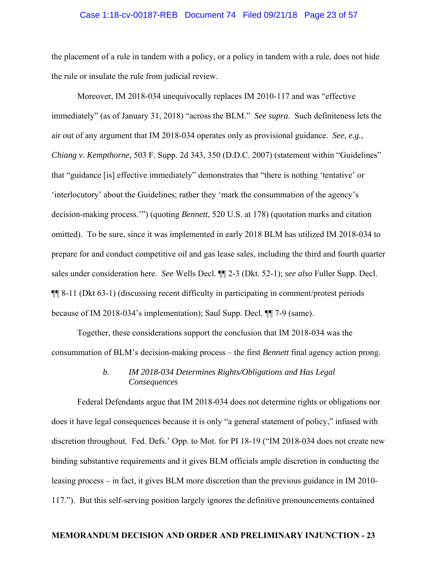### Case 1:18-cv-00187-REB Document 74 Filed 09/21/18 Page 23 of 57

the placement of a rule in tandem with a policy, or a policy in tandem with a rule, does not hide the rule or insulate the rule from judicial review.

 Moreover, IM 2018-034 unequivocally replaces IM 2010-117 and was "effective immediately" (as of January 31, 2018) "across the BLM." *See supra*. Such definiteness lets the air out of any argument that IM 2018-034 operates only as provisional guidance. *See, e.g.*, *Chiang v. Kempthorne*, 503 F. Supp. 2d 343, 350 (D.D.C. 2007) (statement within "Guidelines" that "guidance [is] effective immediately" demonstrates that "there is nothing 'tentative' or 'interlocutory' about the Guidelines; rather they 'mark the consummation of the agency's decision-making process.'") (quoting *Bennett*, 520 U.S. at 178) (quotation marks and citation omitted). To be sure, since it was implemented in early 2018 BLM has utilized IM 2018-034 to prepare for and conduct competitive oil and gas lease sales, including the third and fourth quarter sales under consideration here. *See* Wells Decl. ¶¶ 2-3 (Dkt. 52-1); *see also* Fuller Supp. Decl. ¶¶ 8-11 (Dkt 63-1) (discussing recent difficulty in participating in comment/protest periods because of IM 2018-034's implementation); Saul Supp. Decl. ¶¶ 7-9 (same).

 Together, these considerations support the conclusion that IM 2018-034 was the consummation of BLM's decision-making process – the first *Bennett* final agency action prong.

# *b. IM 2018-034 Determines Rights/Obligations and Has Legal Consequences*

Federal Defendants argue that IM 2018-034 does not determine rights or obligations nor does it have legal consequences because it is only "a general statement of policy," infused with discretion throughout. Fed. Defs.' Opp. to Mot. for PI 18-19 ("IM 2018-034 does not create new binding substantive requirements and it gives BLM officials ample discretion in conducting the leasing process – in fact, it gives BLM more discretion than the previous guidance in IM 2010- 117."). But this self-serving position largely ignores the definitive pronouncements contained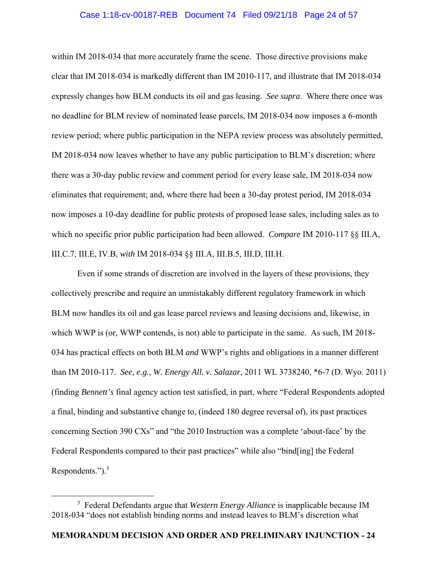### Case 1:18-cv-00187-REB Document 74 Filed 09/21/18 Page 24 of 57

within IM 2018-034 that more accurately frame the scene. Those directive provisions make clear that IM 2018-034 is markedly different than IM 2010-117, and illustrate that IM 2018-034 expressly changes how BLM conducts its oil and gas leasing. *See supra*. Where there once was no deadline for BLM review of nominated lease parcels, IM 2018-034 now imposes a 6-month review period; where public participation in the NEPA review process was absolutely permitted, IM 2018-034 now leaves whether to have any public participation to BLM's discretion; where there was a 30-day public review and comment period for every lease sale, IM 2018-034 now eliminates that requirement; and, where there had been a 30-day protest period, IM 2018-034 now imposes a 10-day deadline for public protests of proposed lease sales, including sales as to which no specific prior public participation had been allowed. *Compare* IM 2010-117 §§ III.A, III.C.7, III.E, IV.B, *with* IM 2018-034 §§ III.A, III.B.5, III.D, III.H.

 Even if some strands of discretion are involved in the layers of these provisions, they collectively prescribe and require an unmistakably different regulatory framework in which BLM now handles its oil and gas lease parcel reviews and leasing decisions and, likewise, in which WWP is (or, WWP contends, is not) able to participate in the same. As such, IM 2018-034 has practical effects on both BLM *and* WWP's rights and obligations in a manner different than IM 2010-117. *See, e.g.*, *W. Energy All. v. Salazar*, 2011 WL 3738240, \*6-7 (D. Wyo. 2011) (finding *Bennett's* final agency action test satisfied, in part, where "Federal Respondents adopted a final, binding and substantive change to, (indeed 180 degree reversal of), its past practices concerning Section 390 CXs" and "the 2010 Instruction was a complete 'about-face' by the Federal Respondents compared to their past practices" while also "bind[ing] the Federal Respondents.").3

 $\frac{1}{3}$  Federal Defendants argue that *Western Energy Alliance* is inapplicable because IM 2018-034 "does not establish binding norms and instead leaves to BLM's discretion what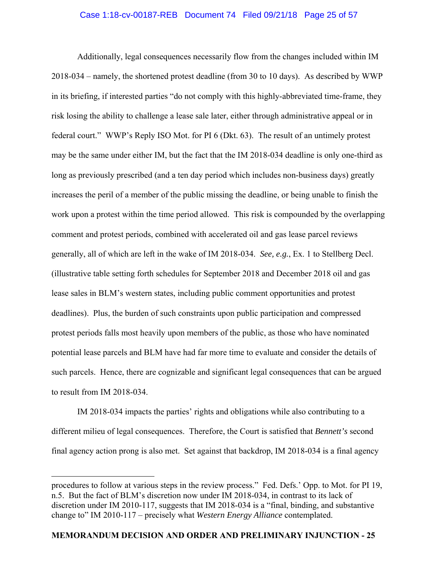# Case 1:18-cv-00187-REB Document 74 Filed 09/21/18 Page 25 of 57

 Additionally, legal consequences necessarily flow from the changes included within IM 2018-034 – namely, the shortened protest deadline (from 30 to 10 days). As described by WWP in its briefing, if interested parties "do not comply with this highly-abbreviated time-frame, they risk losing the ability to challenge a lease sale later, either through administrative appeal or in federal court." WWP's Reply ISO Mot. for PI 6 (Dkt. 63). The result of an untimely protest may be the same under either IM, but the fact that the IM 2018-034 deadline is only one-third as long as previously prescribed (and a ten day period which includes non-business days) greatly increases the peril of a member of the public missing the deadline, or being unable to finish the work upon a protest within the time period allowed. This risk is compounded by the overlapping comment and protest periods, combined with accelerated oil and gas lease parcel reviews generally, all of which are left in the wake of IM 2018-034. *See, e.g.*, Ex. 1 to Stellberg Decl. (illustrative table setting forth schedules for September 2018 and December 2018 oil and gas lease sales in BLM's western states, including public comment opportunities and protest deadlines). Plus, the burden of such constraints upon public participation and compressed protest periods falls most heavily upon members of the public, as those who have nominated potential lease parcels and BLM have had far more time to evaluate and consider the details of such parcels. Hence, there are cognizable and significant legal consequences that can be argued to result from IM 2018-034.

 IM 2018-034 impacts the parties' rights and obligations while also contributing to a different milieu of legal consequences. Therefore, the Court is satisfied that *Bennett's* second final agency action prong is also met. Set against that backdrop, IM 2018-034 is a final agency

 $\overline{a}$ 

procedures to follow at various steps in the review process." Fed. Defs.' Opp. to Mot. for PI 19, n.5. But the fact of BLM's discretion now under IM 2018-034, in contrast to its lack of discretion under IM 2010-117, suggests that IM 2018-034 is a "final, binding, and substantive change to" IM 2010-117 – precisely what *Western Energy Alliance* contemplated.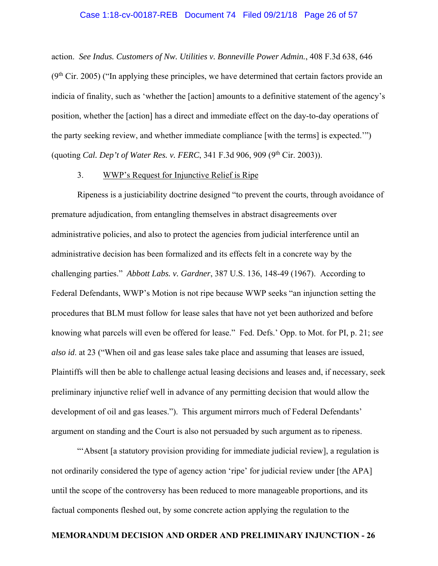### Case 1:18-cv-00187-REB Document 74 Filed 09/21/18 Page 26 of 57

action. *See Indus. Customers of Nw. Utilities v. Bonneville Power Admin.*, 408 F.3d 638, 646  $(9<sup>th</sup> Cir. 2005)$  ("In applying these principles, we have determined that certain factors provide an indicia of finality, such as 'whether the [action] amounts to a definitive statement of the agency's position, whether the [action] has a direct and immediate effect on the day-to-day operations of the party seeking review, and whether immediate compliance [with the terms] is expected.'") (quoting *Cal. Dep't of Water Res. v. FERC*, 341 F.3d 906, 909 (9<sup>th</sup> Cir. 2003)).

#### 3. WWP's Request for Injunctive Relief is Ripe

 Ripeness is a justiciability doctrine designed "to prevent the courts, through avoidance of premature adjudication, from entangling themselves in abstract disagreements over administrative policies, and also to protect the agencies from judicial interference until an administrative decision has been formalized and its effects felt in a concrete way by the challenging parties." *Abbott Labs. v. Gardner*, 387 U.S. 136, 148-49 (1967). According to Federal Defendants, WWP's Motion is not ripe because WWP seeks "an injunction setting the procedures that BLM must follow for lease sales that have not yet been authorized and before knowing what parcels will even be offered for lease." Fed. Defs.' Opp. to Mot. for PI, p. 21; *see also id*. at 23 ("When oil and gas lease sales take place and assuming that leases are issued, Plaintiffs will then be able to challenge actual leasing decisions and leases and, if necessary, seek preliminary injunctive relief well in advance of any permitting decision that would allow the development of oil and gas leases."). This argument mirrors much of Federal Defendants' argument on standing and the Court is also not persuaded by such argument as to ripeness.

"'Absent [a statutory provision providing for immediate judicial review], a regulation is not ordinarily considered the type of agency action 'ripe' for judicial review under [the APA] until the scope of the controversy has been reduced to more manageable proportions, and its factual components fleshed out, by some concrete action applying the regulation to the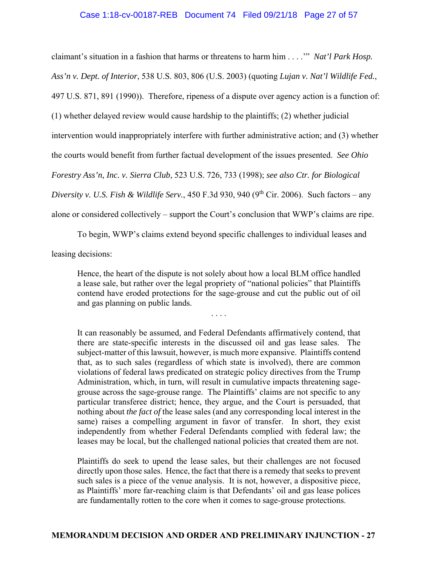# Case 1:18-cv-00187-REB Document 74 Filed 09/21/18 Page 27 of 57

claimant's situation in a fashion that harms or threatens to harm him . . . .'" *Nat'l Park Hosp. Ass'n v. Dept. of Interior*, 538 U.S. 803, 806 (U.S. 2003) (quoting *Lujan v. Nat'l Wildlife Fed.*, 497 U.S. 871, 891 (1990)). Therefore, ripeness of a dispute over agency action is a function of: (1) whether delayed review would cause hardship to the plaintiffs; (2) whether judicial intervention would inappropriately interfere with further administrative action; and (3) whether the courts would benefit from further factual development of the issues presented. *See Ohio Forestry Ass'n, Inc. v. Sierra Club*, 523 U.S. 726, 733 (1998); *see also Ctr. for Biological Diversity v. U.S. Fish & Wildlife Serv.*, 450 F.3d 930, 940 (9<sup>th</sup> Cir. 2006). Such factors – any alone or considered collectively – support the Court's conclusion that WWP's claims are ripe.

To begin, WWP's claims extend beyond specific challenges to individual leases and

leasing decisions:

Hence, the heart of the dispute is not solely about how a local BLM office handled a lease sale, but rather over the legal propriety of "national policies" that Plaintiffs contend have eroded protections for the sage-grouse and cut the public out of oil and gas planning on public lands.

. . . .

It can reasonably be assumed, and Federal Defendants affirmatively contend, that there are state-specific interests in the discussed oil and gas lease sales. The subject-matter of this lawsuit, however, is much more expansive. Plaintiffs contend that, as to such sales (regardless of which state is involved), there are common violations of federal laws predicated on strategic policy directives from the Trump Administration, which, in turn, will result in cumulative impacts threatening sagegrouse across the sage-grouse range. The Plaintiffs' claims are not specific to any particular transferee district; hence, they argue, and the Court is persuaded, that nothing about *the fact of* the lease sales (and any corresponding local interest in the same) raises a compelling argument in favor of transfer. In short, they exist independently from whether Federal Defendants complied with federal law; the leases may be local, but the challenged national policies that created them are not.

Plaintiffs do seek to upend the lease sales, but their challenges are not focused directly upon those sales. Hence, the fact that there is a remedy that seeks to prevent such sales is a piece of the venue analysis. It is not, however, a dispositive piece, as Plaintiffs' more far-reaching claim is that Defendants' oil and gas lease polices are fundamentally rotten to the core when it comes to sage-grouse protections.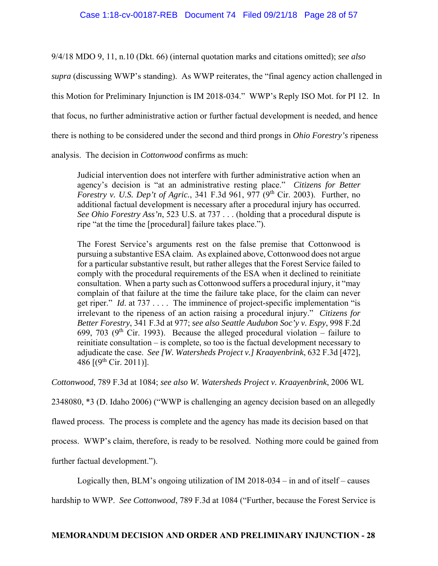9/4/18 MDO 9, 11, n.10 (Dkt. 66) (internal quotation marks and citations omitted); *see also* 

*supra* (discussing WWP's standing). As WWP reiterates, the "final agency action challenged in

this Motion for Preliminary Injunction is IM 2018-034." WWP's Reply ISO Mot. for PI 12. In

that focus, no further administrative action or further factual development is needed, and hence

there is nothing to be considered under the second and third prongs in *Ohio Forestry's* ripeness

analysis. The decision in *Cottonwood* confirms as much:

Judicial intervention does not interfere with further administrative action when an agency's decision is "at an administrative resting place." *Citizens for Better Forestry v. U.S. Dep't of Agric.*, 341 F.3d 961, 977 (9<sup>th</sup> Cir. 2003). Further, no additional factual development is necessary after a procedural injury has occurred. *See Ohio Forestry Ass'n*, 523 U.S. at 737 . . . (holding that a procedural dispute is ripe "at the time the [procedural] failure takes place.").

The Forest Service's arguments rest on the false premise that Cottonwood is pursuing a substantive ESA claim. As explained above, Cottonwood does not argue for a particular substantive result, but rather alleges that the Forest Service failed to comply with the procedural requirements of the ESA when it declined to reinitiate consultation. When a party such as Cottonwood suffers a procedural injury, it "may complain of that failure at the time the failure take place, for the claim can never get riper." *Id*. at 737 . . . . The imminence of project-specific implementation "is irrelevant to the ripeness of an action raising a procedural injury." *Citizens for Better Forestry*, 341 F.3d at 977; *see also Seattle Audubon Soc'y v. Espy*, 998 F.2d 699, 703 (9<sup>th</sup> Cir. 1993). Because the alleged procedural violation – failure to reinitiate consultation – is complete, so too is the factual development necessary to adjudicate the case. *See [W. Watersheds Project v.] Kraayenbrink*, 632 F.3d [472], 486  $[(9^{th}$  Cir. 2011)].

*Cottonwood*, 789 F.3d at 1084; *see also W. Watersheds Project v. Kraayenbrink*, 2006 WL

2348080, \*3 (D. Idaho 2006) ("WWP is challenging an agency decision based on an allegedly

flawed process. The process is complete and the agency has made its decision based on that

process. WWP's claim, therefore, is ready to be resolved. Nothing more could be gained from

further factual development.").

Logically then, BLM's ongoing utilization of IM 2018-034 – in and of itself – causes

hardship to WWP. *See Cottonwood*, 789 F.3d at 1084 ("Further, because the Forest Service is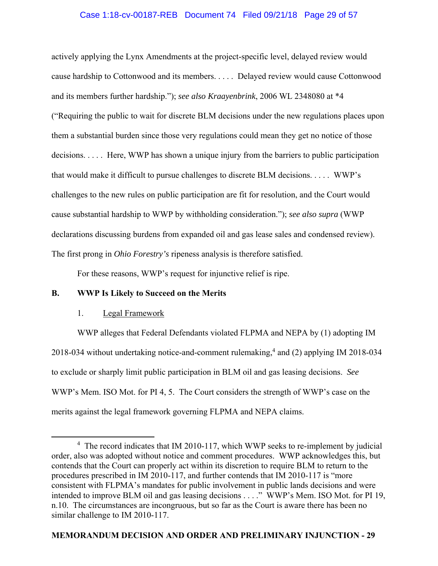# Case 1:18-cv-00187-REB Document 74 Filed 09/21/18 Page 29 of 57

actively applying the Lynx Amendments at the project-specific level, delayed review would cause hardship to Cottonwood and its members. . . . . Delayed review would cause Cottonwood and its members further hardship."); *see also Kraayenbrink*, 2006 WL 2348080 at \*4 ("Requiring the public to wait for discrete BLM decisions under the new regulations places upon them a substantial burden since those very regulations could mean they get no notice of those decisions. . . . . Here, WWP has shown a unique injury from the barriers to public participation that would make it difficult to pursue challenges to discrete BLM decisions. . . . . WWP's challenges to the new rules on public participation are fit for resolution, and the Court would cause substantial hardship to WWP by withholding consideration."); *see also supra* (WWP declarations discussing burdens from expanded oil and gas lease sales and condensed review). The first prong in *Ohio Forestry's* ripeness analysis is therefore satisfied.

For these reasons, WWP's request for injunctive relief is ripe.

# **B. WWP Is Likely to Succeed on the Merits**

## 1. Legal Framework

 WWP alleges that Federal Defendants violated FLPMA and NEPA by (1) adopting IM 2018-034 without undertaking notice-and-comment rulemaking,<sup>4</sup> and (2) applying IM 2018-034 to exclude or sharply limit public participation in BLM oil and gas leasing decisions. *See* WWP's Mem. ISO Mot. for PI 4, 5. The Court considers the strength of WWP's case on the merits against the legal framework governing FLPMA and NEPA claims.

 $\overline{4}$ <sup>4</sup> The record indicates that IM 2010-117, which WWP seeks to re-implement by judicial order, also was adopted without notice and comment procedures. WWP acknowledges this, but contends that the Court can properly act within its discretion to require BLM to return to the procedures prescribed in IM 2010-117, and further contends that IM 2010-117 is "more consistent with FLPMA's mandates for public involvement in public lands decisions and were intended to improve BLM oil and gas leasing decisions . . . ." WWP's Mem. ISO Mot. for PI 19, n.10. The circumstances are incongruous, but so far as the Court is aware there has been no similar challenge to IM 2010-117.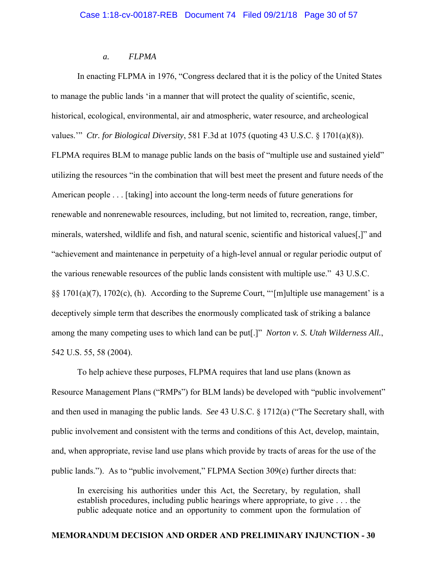# *a. FLPMA*

 In enacting FLPMA in 1976, "Congress declared that it is the policy of the United States to manage the public lands 'in a manner that will protect the quality of scientific, scenic, historical, ecological, environmental, air and atmospheric, water resource, and archeological values.'" *Ctr. for Biological Diversity*, 581 F.3d at 1075 (quoting 43 U.S.C. § 1701(a)(8)). FLPMA requires BLM to manage public lands on the basis of "multiple use and sustained yield" utilizing the resources "in the combination that will best meet the present and future needs of the American people . . . [taking] into account the long-term needs of future generations for renewable and nonrenewable resources, including, but not limited to, recreation, range, timber, minerals, watershed, wildlife and fish, and natural scenic, scientific and historical values[,]" and "achievement and maintenance in perpetuity of a high-level annual or regular periodic output of the various renewable resources of the public lands consistent with multiple use." 43 U.S.C. §§ 1701(a)(7), 1702(c), (h). According to the Supreme Court, "'[m]ultiple use management' is a deceptively simple term that describes the enormously complicated task of striking a balance among the many competing uses to which land can be put[.]" *Norton v. S. Utah Wilderness All.*, 542 U.S. 55, 58 (2004).

 To help achieve these purposes, FLPMA requires that land use plans (known as Resource Management Plans ("RMPs") for BLM lands) be developed with "public involvement" and then used in managing the public lands. *See* 43 U.S.C. § 1712(a) ("The Secretary shall, with public involvement and consistent with the terms and conditions of this Act, develop, maintain, and, when appropriate, revise land use plans which provide by tracts of areas for the use of the public lands."). As to "public involvement," FLPMA Section 309(e) further directs that:

In exercising his authorities under this Act, the Secretary, by regulation, shall establish procedures, including public hearings where appropriate, to give . . . the public adequate notice and an opportunity to comment upon the formulation of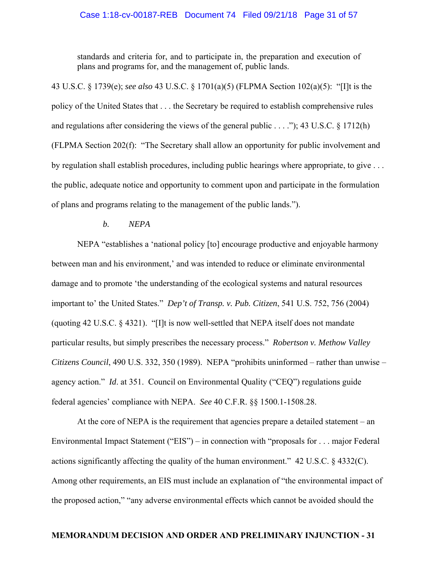### Case 1:18-cv-00187-REB Document 74 Filed 09/21/18 Page 31 of 57

standards and criteria for, and to participate in, the preparation and execution of plans and programs for, and the management of, public lands.

43 U.S.C. § 1739(e); *see also* 43 U.S.C. § 1701(a)(5) (FLPMA Section 102(a)(5): "[I]t is the policy of the United States that . . . the Secretary be required to establish comprehensive rules and regulations after considering the views of the general public . . . ."); 43 U.S.C. § 1712(h) (FLPMA Section 202(f): "The Secretary shall allow an opportunity for public involvement and by regulation shall establish procedures, including public hearings where appropriate, to give . . . the public, adequate notice and opportunity to comment upon and participate in the formulation of plans and programs relating to the management of the public lands.").

# *b. NEPA*

 NEPA "establishes a 'national policy [to] encourage productive and enjoyable harmony between man and his environment,' and was intended to reduce or eliminate environmental damage and to promote 'the understanding of the ecological systems and natural resources important to' the United States." *Dep't of Transp. v. Pub. Citizen*, 541 U.S. 752, 756 (2004) (quoting 42 U.S.C. § 4321). "[I]t is now well-settled that NEPA itself does not mandate particular results, but simply prescribes the necessary process." *Robertson v. Methow Valley Citizens Council*, 490 U.S. 332, 350 (1989). NEPA "prohibits uninformed – rather than unwise – agency action." *Id*. at 351. Council on Environmental Quality ("CEQ") regulations guide federal agencies' compliance with NEPA. *See* 40 C.F.R. §§ 1500.1-1508.28.

 At the core of NEPA is the requirement that agencies prepare a detailed statement – an Environmental Impact Statement ("EIS") – in connection with "proposals for . . . major Federal actions significantly affecting the quality of the human environment." 42 U.S.C. § 4332(C). Among other requirements, an EIS must include an explanation of "the environmental impact of the proposed action," "any adverse environmental effects which cannot be avoided should the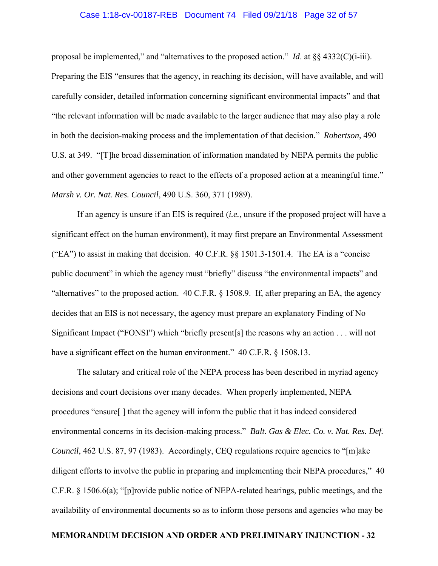### Case 1:18-cv-00187-REB Document 74 Filed 09/21/18 Page 32 of 57

proposal be implemented," and "alternatives to the proposed action." *Id*. at §§ 4332(C)(i-iii).

Preparing the EIS "ensures that the agency, in reaching its decision, will have available, and will carefully consider, detailed information concerning significant environmental impacts" and that "the relevant information will be made available to the larger audience that may also play a role in both the decision-making process and the implementation of that decision." *Robertson*, 490 U.S. at 349. "[T]he broad dissemination of information mandated by NEPA permits the public and other government agencies to react to the effects of a proposed action at a meaningful time." *Marsh v. Or. Nat. Res. Council*, 490 U.S. 360, 371 (1989).

 If an agency is unsure if an EIS is required (*i.e.*, unsure if the proposed project will have a significant effect on the human environment), it may first prepare an Environmental Assessment ("EA") to assist in making that decision.  $40 \text{ C.F.R.}$  §§ 1501.3-1501.4. The EA is a "concise" public document" in which the agency must "briefly" discuss "the environmental impacts" and "alternatives" to the proposed action. 40 C.F.R. § 1508.9. If, after preparing an EA, the agency decides that an EIS is not necessary, the agency must prepare an explanatory Finding of No Significant Impact ("FONSI") which "briefly present[s] the reasons why an action . . . will not have a significant effect on the human environment." 40 C.F.R. § 1508.13.

 The salutary and critical role of the NEPA process has been described in myriad agency decisions and court decisions over many decades. When properly implemented, NEPA procedures "ensure[ ] that the agency will inform the public that it has indeed considered environmental concerns in its decision-making process." *Balt. Gas & Elec. Co. v. Nat. Res. Def. Council*, 462 U.S. 87, 97 (1983). Accordingly, CEQ regulations require agencies to "[m]ake diligent efforts to involve the public in preparing and implementing their NEPA procedures," 40 C.F.R. § 1506.6(a); "[p]rovide public notice of NEPA-related hearings, public meetings, and the availability of environmental documents so as to inform those persons and agencies who may be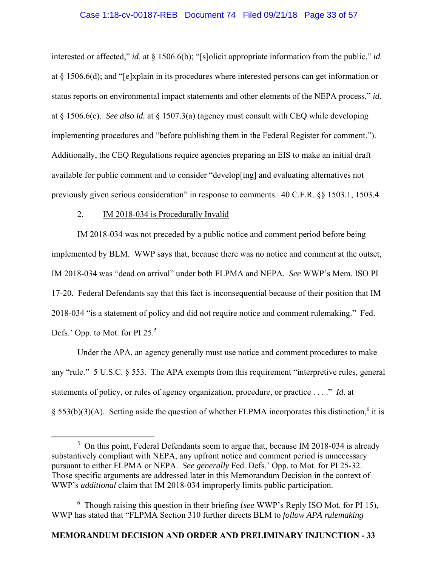### Case 1:18-cv-00187-REB Document 74 Filed 09/21/18 Page 33 of 57

interested or affected," *id*. at § 1506.6(b); "[s]olicit appropriate information from the public," *id.*  at § 1506.6(d); and "[e]xplain in its procedures where interested persons can get information or status reports on environmental impact statements and other elements of the NEPA process," *id*. at § 1506.6(e). *See also id.* at § 1507.3(a) (agency must consult with CEQ while developing implementing procedures and "before publishing them in the Federal Register for comment."). Additionally, the CEQ Regulations require agencies preparing an EIS to make an initial draft available for public comment and to consider "develop[ing] and evaluating alternatives not previously given serious consideration" in response to comments. 40 C.F.R. §§ 1503.1, 1503.4.

# 2. IM 2018-034 is Procedurally Invalid

 IM 2018-034 was not preceded by a public notice and comment period before being implemented by BLM. WWP says that, because there was no notice and comment at the outset, IM 2018-034 was "dead on arrival" under both FLPMA and NEPA. *See* WWP's Mem. ISO PI 17-20. Federal Defendants say that this fact is inconsequential because of their position that IM 2018-034 "is a statement of policy and did not require notice and comment rulemaking." Fed. Defs.' Opp. to Mot. for PI 25.<sup>5</sup>

 Under the APA, an agency generally must use notice and comment procedures to make any "rule." 5 U.S.C. § 553. The APA exempts from this requirement "interpretive rules, general statements of policy, or rules of agency organization, procedure, or practice . . . ." *Id*. at  $\S$  553(b)(3)(A). Setting aside the question of whether FLPMA incorporates this distinction,<sup>6</sup> it is

6 Though raising this question in their briefing (*see* WWP's Reply ISO Mot. for PI 15), WWP has stated that "FLPMA Section 310 further directs BLM to *follow APA rulemaking* 

 $\frac{1}{5}$ <sup>5</sup> On this point, Federal Defendants seem to argue that, because IM 2018-034 is already substantively compliant with NEPA, any upfront notice and comment period is unnecessary pursuant to either FLPMA or NEPA. *See generally* Fed. Defs.' Opp. to Mot. for PI 25-32. Those specific arguments are addressed later in this Memorandum Decision in the context of WWP's *additional* claim that IM 2018-034 improperly limits public participation.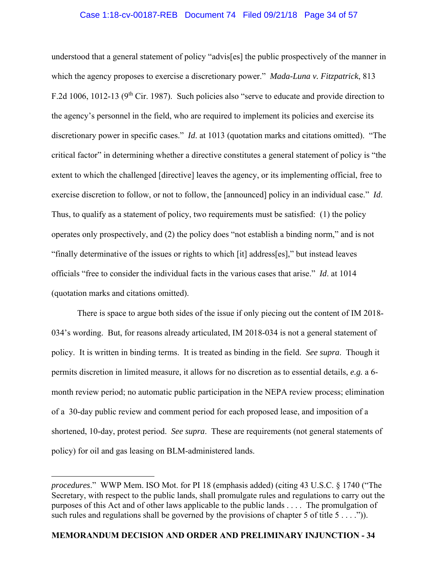# Case 1:18-cv-00187-REB Document 74 Filed 09/21/18 Page 34 of 57

understood that a general statement of policy "advis[es] the public prospectively of the manner in which the agency proposes to exercise a discretionary power." *Mada-Luna v. Fitzpatrick*, 813 F.2d 1006, 1012-13 (9<sup>th</sup> Cir. 1987). Such policies also "serve to educate and provide direction to the agency's personnel in the field, who are required to implement its policies and exercise its discretionary power in specific cases." *Id*. at 1013 (quotation marks and citations omitted). "The critical factor" in determining whether a directive constitutes a general statement of policy is "the extent to which the challenged [directive] leaves the agency, or its implementing official, free to exercise discretion to follow, or not to follow, the [announced] policy in an individual case." *Id*. Thus, to qualify as a statement of policy, two requirements must be satisfied: (1) the policy operates only prospectively, and (2) the policy does "not establish a binding norm," and is not "finally determinative of the issues or rights to which [it] address[es]," but instead leaves officials "free to consider the individual facts in the various cases that arise." *Id*. at 1014 (quotation marks and citations omitted).

 There is space to argue both sides of the issue if only piecing out the content of IM 2018- 034's wording. But, for reasons already articulated, IM 2018-034 is not a general statement of policy. It is written in binding terms. It is treated as binding in the field. *See supra*. Though it permits discretion in limited measure, it allows for no discretion as to essential details, *e.g.* a 6 month review period; no automatic public participation in the NEPA review process; elimination of a 30-day public review and comment period for each proposed lease, and imposition of a shortened, 10-day, protest period. *See supra*. These are requirements (not general statements of policy) for oil and gas leasing on BLM-administered lands.

 $\overline{a}$ 

*procedures*." WWP Mem. ISO Mot. for PI 18 (emphasis added) (citing 43 U.S.C. § 1740 ("The Secretary, with respect to the public lands, shall promulgate rules and regulations to carry out the purposes of this Act and of other laws applicable to the public lands . . . . The promulgation of such rules and regulations shall be governed by the provisions of chapter 5 of title  $5 \ldots$ .").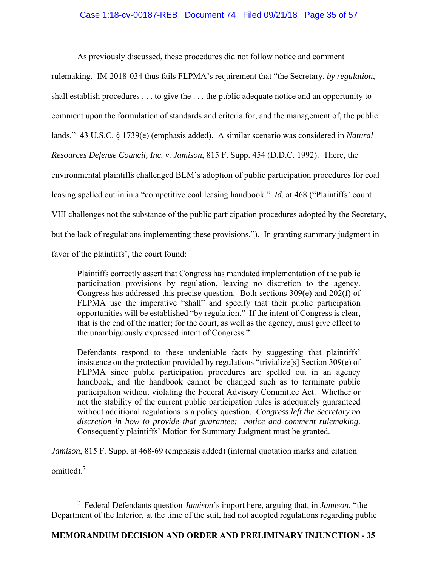# Case 1:18-cv-00187-REB Document 74 Filed 09/21/18 Page 35 of 57

As previously discussed, these procedures did not follow notice and comment

rulemaking. IM 2018-034 thus fails FLPMA's requirement that "the Secretary, *by regulation*, shall establish procedures . . . to give the . . . the public adequate notice and an opportunity to comment upon the formulation of standards and criteria for, and the management of, the public lands." 43 U.S.C. § 1739(e) (emphasis added). A similar scenario was considered in *Natural Resources Defense Council, Inc. v. Jamison*, 815 F. Supp. 454 (D.D.C. 1992). There, the environmental plaintiffs challenged BLM's adoption of public participation procedures for coal leasing spelled out in in a "competitive coal leasing handbook." *Id*. at 468 ("Plaintiffs' count VIII challenges not the substance of the public participation procedures adopted by the Secretary, but the lack of regulations implementing these provisions."). In granting summary judgment in favor of the plaintiffs', the court found:

Plaintiffs correctly assert that Congress has mandated implementation of the public participation provisions by regulation, leaving no discretion to the agency. Congress has addressed this precise question. Both sections 309(e) and 202(f) of FLPMA use the imperative "shall" and specify that their public participation opportunities will be established "by regulation." If the intent of Congress is clear, that is the end of the matter; for the court, as well as the agency, must give effect to the unambiguously expressed intent of Congress."

Defendants respond to these undeniable facts by suggesting that plaintiffs' insistence on the protection provided by regulations "trivialize[s] Section 309(e) of FLPMA since public participation procedures are spelled out in an agency handbook, and the handbook cannot be changed such as to terminate public participation without violating the Federal Advisory Committee Act. Whether or not the stability of the current public participation rules is adequately guaranteed without additional regulations is a policy question. *Congress left the Secretary no discretion in how to provide that guarantee: notice and comment rulemaking*. Consequently plaintiffs' Motion for Summary Judgment must be granted.

*Jamison*, 815 F. Supp. at 468-69 (emphasis added) (internal quotation marks and citation

omitted). $<sup>7</sup>$ </sup>

 $\frac{1}{7}$  Federal Defendants question *Jamison*'s import here, arguing that, in *Jamison*, "the Department of the Interior, at the time of the suit, had not adopted regulations regarding public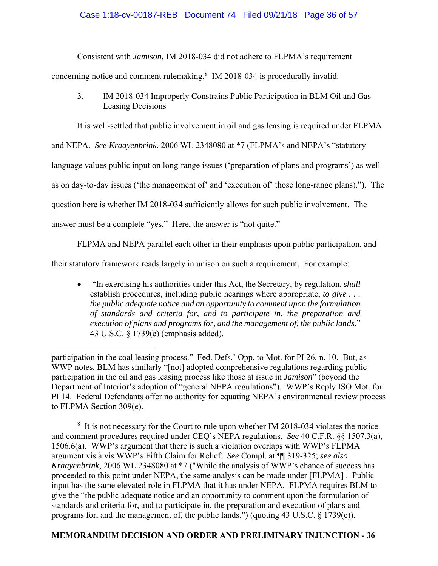# Case 1:18-cv-00187-REB Document 74 Filed 09/21/18 Page 36 of 57

 Consistent with *Jamison*, IM 2018-034 did not adhere to FLPMA's requirement concerning notice and comment rulemaking.<sup>8</sup> IM 2018-034 is procedurally invalid.

 3. IM 2018-034 Improperly Constrains Public Participation in BLM Oil and Gas Leasing Decisions

It is well-settled that public involvement in oil and gas leasing is required under FLPMA

and NEPA. *See Kraayenbrink*, 2006 WL 2348080 at \*7 (FLPMA's and NEPA's "statutory

language values public input on long-range issues ('preparation of plans and programs') as well

as on day-to-day issues ('the management of' and 'execution of' those long-range plans)."). The

question here is whether IM 2018-034 sufficiently allows for such public involvement. The

answer must be a complete "yes." Here, the answer is "not quite."

 $\overline{a}$ 

FLPMA and NEPA parallel each other in their emphasis upon public participation, and

their statutory framework reads largely in unison on such a requirement. For example:

 "In exercising his authorities under this Act, the Secretary, by regulation, *shall* establish procedures, including public hearings where appropriate, *to give . . . the public adequate notice and an opportunity to comment upon the formulation of standards and criteria for, and to participate in, the preparation and execution of plans and programs for, and the management of, the public lands*." 43 U.S.C. § 1739(e) (emphasis added).

<sup>8</sup> It is not necessary for the Court to rule upon whether IM 2018-034 violates the notice and comment procedures required under CEQ's NEPA regulations. *See* 40 C.F.R. §§ 1507.3(a), 1506.6(a). WWP's argument that there is such a violation overlaps with WWP's FLPMA argument vis à vis WWP's Fifth Claim for Relief. *See* Compl. at ¶¶ 319-325; *see also Kraayenbrink*, 2006 WL 2348080 at \*7 ("While the analysis of WWP's chance of success has proceeded to this point under NEPA, the same analysis can be made under [FLPMA] . Public input has the same elevated role in FLPMA that it has under NEPA. FLPMA requires BLM to give the "the public adequate notice and an opportunity to comment upon the formulation of standards and criteria for, and to participate in, the preparation and execution of plans and programs for, and the management of, the public lands.") (quoting 43 U.S.C. § 1739(e)).

participation in the coal leasing process." Fed. Defs.' Opp. to Mot. for PI 26, n. 10. But, as WWP notes, BLM has similarly "[not] adopted comprehensive regulations regarding public participation in the oil and gas leasing process like those at issue in *Jamison*" (beyond the Department of Interior's adoption of "general NEPA regulations"). WWP's Reply ISO Mot. for PI 14. Federal Defendants offer no authority for equating NEPA's environmental review process to FLPMA Section 309(e).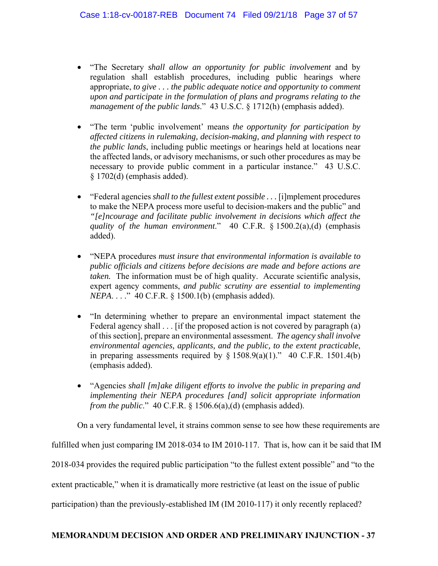- "The Secretary *shall allow an opportunity for public involvement* and by regulation shall establish procedures, including public hearings where appropriate, *to give . . . the public adequate notice and opportunity to comment upon and participate in the formulation of plans and programs relating to the management of the public lands*." 43 U.S.C. § 1712(h) (emphasis added).
- "The term 'public involvement' means *the opportunity for participation by affected citizens in rulemaking, decision-making, and planning with respect to the public lands*, including public meetings or hearings held at locations near the affected lands, or advisory mechanisms, or such other procedures as may be necessary to provide public comment in a particular instance." 43 U.S.C. § 1702(d) (emphasis added).
- "Federal agencies *shall to the fullest extent possible . . .* [i]mplement procedures to make the NEPA process more useful to decision-makers and the public" and *"[e]ncourage and facilitate public involvement in decisions which affect the quality of the human environment*." 40 C.F.R. § 1500.2(a),(d) (emphasis added).
- "NEPA procedures *must insure that environmental information is available to public officials and citizens before decisions are made and before actions are taken.* The information must be of high quality. Accurate scientific analysis, expert agency comments, *and public scrutiny are essential to implementing NEPA...*." 40 C.F.R. § 1500.1(b) (emphasis added).
- "In determining whether to prepare an environmental impact statement the Federal agency shall  $\ldots$  [if the proposed action is not covered by paragraph (a) of this section], prepare an environmental assessment. *The agency shall involve environmental agencies, applicants, and the public, to the extent practicable*, in preparing assessments required by  $\S$  1508.9(a)(1)." 40 C.F.R. 1501.4(b) (emphasis added).
- "Agencies *shall [m]ake diligent efforts to involve the public in preparing and implementing their NEPA procedures [and] solicit appropriate information from the public.*" 40 C.F.R. § 1506.6(a),(d) (emphasis added).

 On a very fundamental level, it strains common sense to see how these requirements are fulfilled when just comparing IM 2018-034 to IM 2010-117. That is, how can it be said that IM 2018-034 provides the required public participation "to the fullest extent possible" and "to the extent practicable," when it is dramatically more restrictive (at least on the issue of public participation) than the previously-established IM (IM 2010-117) it only recently replaced?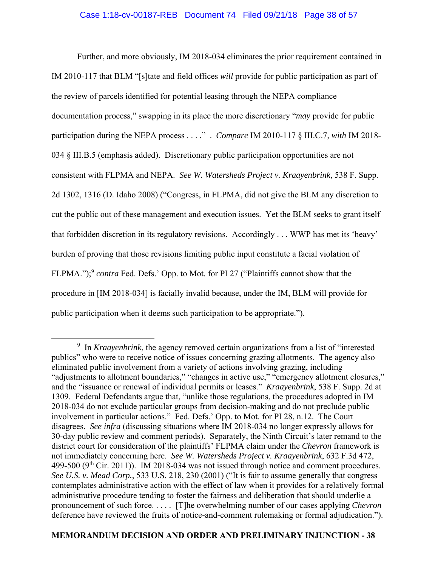# Case 1:18-cv-00187-REB Document 74 Filed 09/21/18 Page 38 of 57

 Further, and more obviously, IM 2018-034 eliminates the prior requirement contained in IM 2010-117 that BLM "[s]tate and field offices *will* provide for public participation as part of the review of parcels identified for potential leasing through the NEPA compliance documentation process," swapping in its place the more discretionary "*may* provide for public participation during the NEPA process . . . ." . *Compare* IM 2010-117 § III.C.7, *with* IM 2018- 034 § III.B.5 (emphasis added). Discretionary public participation opportunities are not consistent with FLPMA and NEPA. *See W. Watersheds Project v. Kraayenbrink*, 538 F. Supp. 2d 1302, 1316 (D. Idaho 2008) ("Congress, in FLPMA, did not give the BLM any discretion to cut the public out of these management and execution issues. Yet the BLM seeks to grant itself that forbidden discretion in its regulatory revisions. Accordingly . . . WWP has met its 'heavy' burden of proving that those revisions limiting public input constitute a facial violation of FLPMA.");<sup>9</sup> *contra* Fed. Defs.' Opp. to Mot. for PI 27 ("Plaintiffs cannot show that the procedure in [IM 2018-034] is facially invalid because, under the IM, BLM will provide for public participation when it deems such participation to be appropriate.").

 <sup>9</sup> <sup>9</sup> In *Kraayenbrink*, the agency removed certain organizations from a list of "interested" publics" who were to receive notice of issues concerning grazing allotments. The agency also eliminated public involvement from a variety of actions involving grazing, including "adjustments to allotment boundaries," "changes in active use," "emergency allotment closures," and the "issuance or renewal of individual permits or leases." *Kraayenbrink*, 538 F. Supp. 2d at 1309. Federal Defendants argue that, "unlike those regulations, the procedures adopted in IM 2018-034 do not exclude particular groups from decision-making and do not preclude public involvement in particular actions." Fed. Defs.' Opp. to Mot. for PI 28, n.12. The Court disagrees. *See infra* (discussing situations where IM 2018-034 no longer expressly allows for 30-day public review and comment periods). Separately, the Ninth Circuit's later remand to the district court for consideration of the plaintiffs' FLPMA claim under the *Chevron* framework is not immediately concerning here. *See W. Watersheds Project v. Kraayenbrink*, 632 F.3d 472, 499-500 ( $9<sup>th</sup>$  Cir. 2011)). IM 2018-034 was not issued through notice and comment procedures. *See U.S. v. Mead Corp.*, 533 U.S. 218, 230 (2001) ("It is fair to assume generally that congress contemplates administrative action with the effect of law when it provides for a relatively formal administrative procedure tending to foster the fairness and deliberation that should underlie a pronouncement of such force. . . . . [T]he overwhelming number of our cases applying *Chevron*  deference have reviewed the fruits of notice-and-comment rulemaking or formal adjudication.").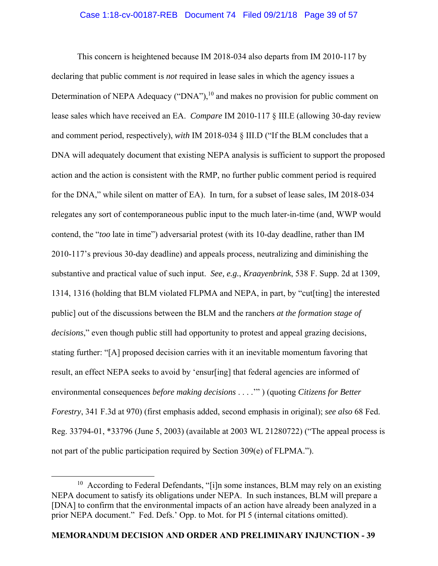## Case 1:18-cv-00187-REB Document 74 Filed 09/21/18 Page 39 of 57

 This concern is heightened because IM 2018-034 also departs from IM 2010-117 by declaring that public comment is *not* required in lease sales in which the agency issues a Determination of NEPA Adequacy ("DNA"), $^{10}$  and makes no provision for public comment on lease sales which have received an EA. *Compare* IM 2010-117 § III.E (allowing 30-day review and comment period, respectively), *with* IM 2018-034 § III.D ("If the BLM concludes that a DNA will adequately document that existing NEPA analysis is sufficient to support the proposed action and the action is consistent with the RMP, no further public comment period is required for the DNA," while silent on matter of EA). In turn, for a subset of lease sales, IM 2018-034 relegates any sort of contemporaneous public input to the much later-in-time (and, WWP would contend, the "*too* late in time") adversarial protest (with its 10-day deadline, rather than IM 2010-117's previous 30-day deadline) and appeals process, neutralizing and diminishing the substantive and practical value of such input. *See, e.g.*, *Kraayenbrink*, 538 F. Supp. 2d at 1309, 1314, 1316 (holding that BLM violated FLPMA and NEPA, in part, by "cut[ting] the interested public] out of the discussions between the BLM and the ranchers *at the formation stage of decisions*," even though public still had opportunity to protest and appeal grazing decisions, stating further: "[A] proposed decision carries with it an inevitable momentum favoring that result, an effect NEPA seeks to avoid by 'ensur[ing] that federal agencies are informed of environmental consequences *before making decisions* . . . .'" ) (quoting *Citizens for Better Forestry*, 341 F.3d at 970) (first emphasis added, second emphasis in original); *see also* 68 Fed. Reg. 33794-01, \*33796 (June 5, 2003) (available at 2003 WL 21280722) ("The appeal process is not part of the public participation required by Section 309(e) of FLPMA.").

 $10$  According to Federal Defendants, "[i]n some instances, BLM may rely on an existing NEPA document to satisfy its obligations under NEPA. In such instances, BLM will prepare a [DNA] to confirm that the environmental impacts of an action have already been analyzed in a prior NEPA document." Fed. Defs.' Opp. to Mot. for PI 5 (internal citations omitted).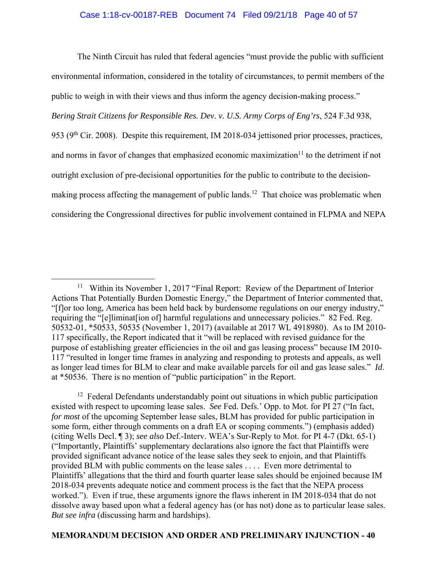### Case 1:18-cv-00187-REB Document 74 Filed 09/21/18 Page 40 of 57

 The Ninth Circuit has ruled that federal agencies "must provide the public with sufficient environmental information, considered in the totality of circumstances, to permit members of the public to weigh in with their views and thus inform the agency decision-making process." *Bering Strait Citizens for Responsible Res. Dev. v. U.S. Army Corps of Eng'rs*, 524 F.3d 938, 953 (9th Cir. 2008). Despite this requirement, IM 2018-034 jettisoned prior processes, practices, and norms in favor of changes that emphasized economic maximization $11$  to the detriment if not outright exclusion of pre-decisional opportunities for the public to contribute to the decisionmaking process affecting the management of public lands.<sup>12</sup> That choice was problematic when considering the Congressional directives for public involvement contained in FLPMA and NEPA

 $12$  Federal Defendants understandably point out situations in which public participation existed with respect to upcoming lease sales. *See* Fed. Defs.' Opp. to Mot. for PI 27 ("In fact, *for most* of the upcoming September lease sales, BLM has provided for public participation in some form, either through comments on a draft EA or scoping comments.") (emphasis added) (citing Wells Decl. ¶ 3); *see also* Def.-Interv. WEA's Sur-Reply to Mot. for PI 4-7 (Dkt. 65-1) ("Importantly, Plaintiffs' supplementary declarations also ignore the fact that Plaintiffs were provided significant advance notice of the lease sales they seek to enjoin, and that Plaintiffs provided BLM with public comments on the lease sales . . . . Even more detrimental to Plaintiffs' allegations that the third and fourth quarter lease sales should be enjoined because IM 2018-034 prevents adequate notice and comment process is the fact that the NEPA process worked."). Even if true, these arguments ignore the flaws inherent in IM 2018-034 that do not dissolve away based upon what a federal agency has (or has not) done as to particular lease sales. *But see infra* (discussing harm and hardships).

<sup>&</sup>lt;sup>11</sup> Within its November 1, 2017 "Final Report: Review of the Department of Interior Actions That Potentially Burden Domestic Energy," the Department of Interior commented that, "[f]or too long, America has been held back by burdensome regulations on our energy industry," requiring the "[e]liminat[ion of] harmful regulations and unnecessary policies." 82 Fed. Reg. 50532-01, \*50533, 50535 (November 1, 2017) (available at 2017 WL 4918980). As to IM 2010- 117 specifically, the Report indicated that it "will be replaced with revised guidance for the purpose of establishing greater efficiencies in the oil and gas leasing process" because IM 2010-117 "resulted in longer time frames in analyzing and responding to protests and appeals, as well as longer lead times for BLM to clear and make available parcels for oil and gas lease sales." *Id*. at \*50536. There is no mention of "public participation" in the Report.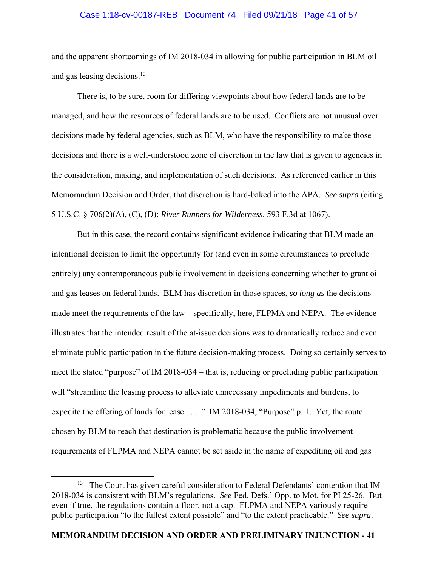### Case 1:18-cv-00187-REB Document 74 Filed 09/21/18 Page 41 of 57

and the apparent shortcomings of IM 2018-034 in allowing for public participation in BLM oil and gas leasing decisions.<sup>13</sup>

 There is, to be sure, room for differing viewpoints about how federal lands are to be managed, and how the resources of federal lands are to be used. Conflicts are not unusual over decisions made by federal agencies, such as BLM, who have the responsibility to make those decisions and there is a well-understood zone of discretion in the law that is given to agencies in the consideration, making, and implementation of such decisions. As referenced earlier in this Memorandum Decision and Order, that discretion is hard-baked into the APA. *See supra* (citing 5 U.S.C. § 706(2)(A), (C), (D); *River Runners for Wilderness*, 593 F.3d at 1067).

 But in this case, the record contains significant evidence indicating that BLM made an intentional decision to limit the opportunity for (and even in some circumstances to preclude entirely) any contemporaneous public involvement in decisions concerning whether to grant oil and gas leases on federal lands. BLM has discretion in those spaces, *so long as* the decisions made meet the requirements of the law – specifically, here, FLPMA and NEPA. The evidence illustrates that the intended result of the at-issue decisions was to dramatically reduce and even eliminate public participation in the future decision-making process. Doing so certainly serves to meet the stated "purpose" of IM 2018-034 – that is, reducing or precluding public participation will "streamline the leasing process to alleviate unnecessary impediments and burdens, to expedite the offering of lands for lease . . . ." IM 2018-034, "Purpose" p. 1. Yet, the route chosen by BLM to reach that destination is problematic because the public involvement requirements of FLPMA and NEPA cannot be set aside in the name of expediting oil and gas

 $13$  The Court has given careful consideration to Federal Defendants' contention that IM 2018-034 is consistent with BLM's regulations. *See* Fed. Defs.' Opp. to Mot. for PI 25-26. But even if true, the regulations contain a floor, not a cap. FLPMA and NEPA variously require public participation "to the fullest extent possible" and "to the extent practicable." *See supra*.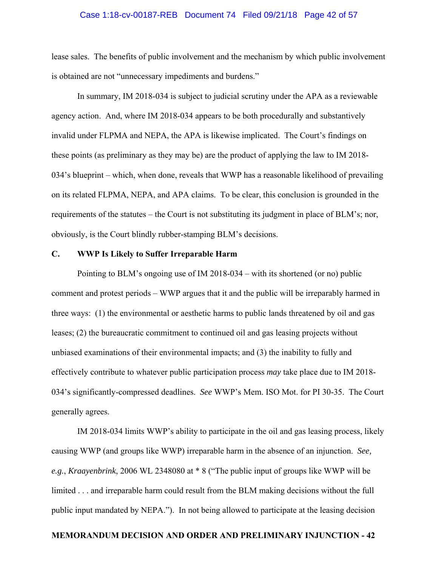# Case 1:18-cv-00187-REB Document 74 Filed 09/21/18 Page 42 of 57

lease sales. The benefits of public involvement and the mechanism by which public involvement is obtained are not "unnecessary impediments and burdens."

 In summary, IM 2018-034 is subject to judicial scrutiny under the APA as a reviewable agency action. And, where IM 2018-034 appears to be both procedurally and substantively invalid under FLPMA and NEPA, the APA is likewise implicated. The Court's findings on these points (as preliminary as they may be) are the product of applying the law to IM 2018- 034's blueprint – which, when done, reveals that WWP has a reasonable likelihood of prevailing on its related FLPMA, NEPA, and APA claims. To be clear, this conclusion is grounded in the requirements of the statutes – the Court is not substituting its judgment in place of BLM's; nor, obviously, is the Court blindly rubber-stamping BLM's decisions.

#### **C. WWP Is Likely to Suffer Irreparable Harm**

 Pointing to BLM's ongoing use of IM 2018-034 – with its shortened (or no) public comment and protest periods – WWP argues that it and the public will be irreparably harmed in three ways: (1) the environmental or aesthetic harms to public lands threatened by oil and gas leases; (2) the bureaucratic commitment to continued oil and gas leasing projects without unbiased examinations of their environmental impacts; and (3) the inability to fully and effectively contribute to whatever public participation process *may* take place due to IM 2018- 034's significantly-compressed deadlines. *See* WWP's Mem. ISO Mot. for PI 30-35. The Court generally agrees.

 IM 2018-034 limits WWP's ability to participate in the oil and gas leasing process, likely causing WWP (and groups like WWP) irreparable harm in the absence of an injunction. *See, e.g.*, *Kraayenbrink*, 2006 WL 2348080 at \* 8 ("The public input of groups like WWP will be limited . . . and irreparable harm could result from the BLM making decisions without the full public input mandated by NEPA."). In not being allowed to participate at the leasing decision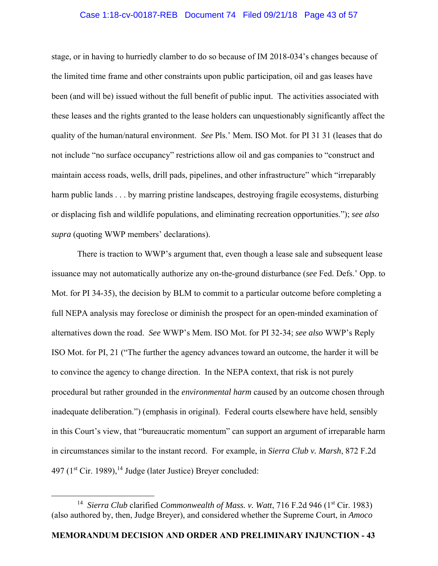### Case 1:18-cv-00187-REB Document 74 Filed 09/21/18 Page 43 of 57

stage, or in having to hurriedly clamber to do so because of IM 2018-034's changes because of the limited time frame and other constraints upon public participation, oil and gas leases have been (and will be) issued without the full benefit of public input. The activities associated with these leases and the rights granted to the lease holders can unquestionably significantly affect the quality of the human/natural environment. *See* Pls.' Mem. ISO Mot. for PI 31 31 (leases that do not include "no surface occupancy" restrictions allow oil and gas companies to "construct and maintain access roads, wells, drill pads, pipelines, and other infrastructure" which "irreparably harm public lands . . . by marring pristine landscapes, destroying fragile ecosystems, disturbing or displacing fish and wildlife populations, and eliminating recreation opportunities."); *see also supra* (quoting WWP members' declarations).

 There is traction to WWP's argument that, even though a lease sale and subsequent lease issuance may not automatically authorize any on-the-ground disturbance (*see* Fed. Defs.' Opp. to Mot. for PI 34-35), the decision by BLM to commit to a particular outcome before completing a full NEPA analysis may foreclose or diminish the prospect for an open-minded examination of alternatives down the road. *See* WWP's Mem. ISO Mot. for PI 32-34; *see also* WWP's Reply ISO Mot. for PI, 21 ("The further the agency advances toward an outcome, the harder it will be to convince the agency to change direction. In the NEPA context, that risk is not purely procedural but rather grounded in the *environmental harm* caused by an outcome chosen through inadequate deliberation.") (emphasis in original). Federal courts elsewhere have held, sensibly in this Court's view, that "bureaucratic momentum" can support an argument of irreparable harm in circumstances similar to the instant record. For example, in *Sierra Club v. Marsh*, 872 F.2d 497 ( $1<sup>st</sup> Cir. 1989$ ),<sup>14</sup> Judge (later Justice) Breyer concluded:

<sup>&</sup>lt;sup>14</sup> Sierra Club clarified *Commonwealth of Mass. v. Watt*, 716 F.2d 946 (1<sup>st</sup> Cir. 1983) (also authored by, then, Judge Breyer), and considered whether the Supreme Court, in *Amoco*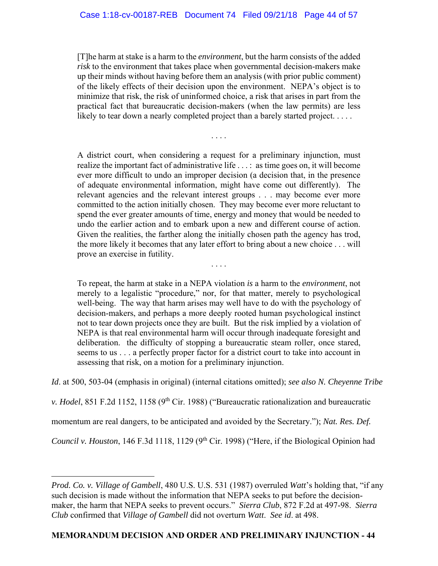[T]he harm at stake is a harm to the *environment*, but the harm consists of the added *risk* to the environment that takes place when governmental decision-makers make up their minds without having before them an analysis (with prior public comment) of the likely effects of their decision upon the environment. NEPA's object is to minimize that risk, the risk of uninformed choice, a risk that arises in part from the practical fact that bureaucratic decision-makers (when the law permits) are less likely to tear down a nearly completed project than a barely started project. . . . .

. . . .

A district court, when considering a request for a preliminary injunction, must realize the important fact of administrative life . . . : as time goes on, it will become ever more difficult to undo an improper decision (a decision that, in the presence of adequate environmental information, might have come out differently). The relevant agencies and the relevant interest groups . . . may become ever more committed to the action initially chosen. They may become ever more reluctant to spend the ever greater amounts of time, energy and money that would be needed to undo the earlier action and to embark upon a new and different course of action. Given the realities, the farther along the initially chosen path the agency has trod, the more likely it becomes that any later effort to bring about a new choice . . . will prove an exercise in futility.

To repeat, the harm at stake in a NEPA violation *is* a harm to the *environment*, not merely to a legalistic "procedure," nor, for that matter, merely to psychological well-being. The way that harm arises may well have to do with the psychology of decision-makers, and perhaps a more deeply rooted human psychological instinct not to tear down projects once they are built. But the risk implied by a violation of NEPA is that real environmental harm will occur through inadequate foresight and deliberation. the difficulty of stopping a bureaucratic steam roller, once stared, seems to us . . . a perfectly proper factor for a district court to take into account in assessing that risk, on a motion for a preliminary injunction.

. . . .

*Id*. at 500, 503-04 (emphasis in original) (internal citations omitted); *see also N. Cheyenne Tribe* 

*v. Hodel*, 851 F.2d 1152, 1158 (9<sup>th</sup> Cir. 1988) ("Bureaucratic rationalization and bureaucratic

momentum are real dangers, to be anticipated and avoided by the Secretary."); *Nat. Res. Def.* 

*Council v. Houston*, 146 F.3d 1118, 1129 (9<sup>th</sup> Cir. 1998) ("Here, if the Biological Opinion had

 $\overline{a}$ 

*Prod. Co. v. Village of Gambell*, 480 U.S. U.S. 531 (1987) overruled *Watt*'s holding that, "if any such decision is made without the information that NEPA seeks to put before the decisionmaker, the harm that NEPA seeks to prevent occurs." *Sierra Club*, 872 F.2d at 497-98. *Sierra Club* confirmed that *Village of Gambell* did not overturn *Watt*. *See id*. at 498.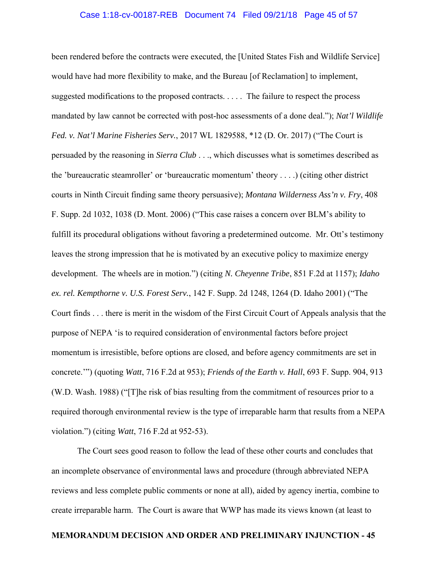# Case 1:18-cv-00187-REB Document 74 Filed 09/21/18 Page 45 of 57

been rendered before the contracts were executed, the [United States Fish and Wildlife Service] would have had more flexibility to make, and the Bureau [of Reclamation] to implement, suggested modifications to the proposed contracts. . . . . The failure to respect the process mandated by law cannot be corrected with post-hoc assessments of a done deal."); *Nat'l Wildlife Fed. v. Nat'l Marine Fisheries Serv.*, 2017 WL 1829588, \*12 (D. Or. 2017) ("The Court is persuaded by the reasoning in *Sierra Club* . . ., which discusses what is sometimes described as the 'bureaucratic steamroller' or 'bureaucratic momentum' theory . . . .) (citing other district courts in Ninth Circuit finding same theory persuasive); *Montana Wilderness Ass'n v. Fry*, 408 F. Supp. 2d 1032, 1038 (D. Mont. 2006) ("This case raises a concern over BLM's ability to fulfill its procedural obligations without favoring a predetermined outcome. Mr. Ott's testimony leaves the strong impression that he is motivated by an executive policy to maximize energy development. The wheels are in motion.") (citing *N. Cheyenne Tribe*, 851 F.2d at 1157); *Idaho ex. rel. Kempthorne v. U.S. Forest Serv.*, 142 F. Supp. 2d 1248, 1264 (D. Idaho 2001) ("The Court finds . . . there is merit in the wisdom of the First Circuit Court of Appeals analysis that the purpose of NEPA 'is to required consideration of environmental factors before project momentum is irresistible, before options are closed, and before agency commitments are set in concrete.'") (quoting *Watt*, 716 F.2d at 953); *Friends of the Earth v. Hall*, 693 F. Supp. 904, 913 (W.D. Wash. 1988) ("[T]he risk of bias resulting from the commitment of resources prior to a required thorough environmental review is the type of irreparable harm that results from a NEPA violation.") (citing *Watt*, 716 F.2d at 952-53).

 The Court sees good reason to follow the lead of these other courts and concludes that an incomplete observance of environmental laws and procedure (through abbreviated NEPA reviews and less complete public comments or none at all), aided by agency inertia, combine to create irreparable harm. The Court is aware that WWP has made its views known (at least to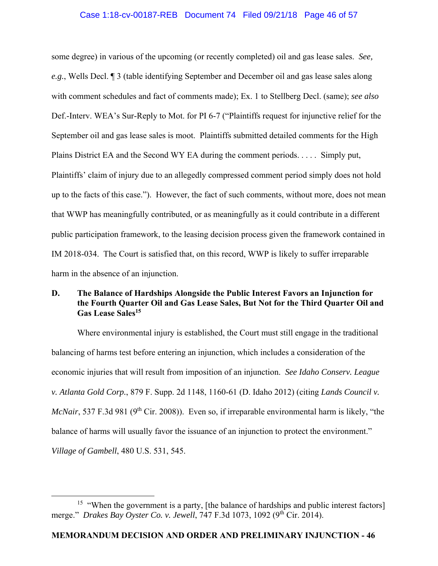# Case 1:18-cv-00187-REB Document 74 Filed 09/21/18 Page 46 of 57

some degree) in various of the upcoming (or recently completed) oil and gas lease sales. *See, e.g.*, Wells Decl. ¶ 3 (table identifying September and December oil and gas lease sales along with comment schedules and fact of comments made); Ex. 1 to Stellberg Decl. (same); *see also*  Def.-Interv. WEA's Sur-Reply to Mot. for PI 6-7 ("Plaintiffs request for injunctive relief for the September oil and gas lease sales is moot. Plaintiffs submitted detailed comments for the High Plains District EA and the Second WY EA during the comment periods. . . . . Simply put, Plaintiffs' claim of injury due to an allegedly compressed comment period simply does not hold up to the facts of this case."). However, the fact of such comments, without more, does not mean that WWP has meaningfully contributed, or as meaningfully as it could contribute in a different public participation framework, to the leasing decision process given the framework contained in IM 2018-034. The Court is satisfied that, on this record, WWP is likely to suffer irreparable harm in the absence of an injunction.

# **D. The Balance of Hardships Alongside the Public Interest Favors an Injunction for the Fourth Quarter Oil and Gas Lease Sales, But Not for the Third Quarter Oil and Gas Lease Sales15**

Where environmental injury is established, the Court must still engage in the traditional balancing of harms test before entering an injunction, which includes a consideration of the economic injuries that will result from imposition of an injunction. *See Idaho Conserv. League v. Atlanta Gold Corp.*, 879 F. Supp. 2d 1148, 1160-61 (D. Idaho 2012) (citing *Lands Council v. McNair*, 537 F.3d 981 (9<sup>th</sup> Cir. 2008)). Even so, if irreparable environmental harm is likely, "the balance of harms will usually favor the issuance of an injunction to protect the environment." *Village of Gambell*, 480 U.S. 531, 545.

<sup>&</sup>lt;sup>15</sup> "When the government is a party, [the balance of hardships and public interest factors] merge." *Drakes Bay Oyster Co. v. Jewell*, 747 F.3d 1073, 1092 (9<sup>th</sup> Cir. 2014).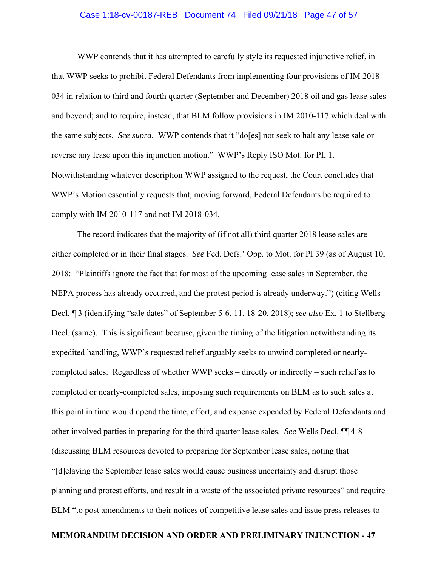# Case 1:18-cv-00187-REB Document 74 Filed 09/21/18 Page 47 of 57

 WWP contends that it has attempted to carefully style its requested injunctive relief, in that WWP seeks to prohibit Federal Defendants from implementing four provisions of IM 2018- 034 in relation to third and fourth quarter (September and December) 2018 oil and gas lease sales and beyond; and to require, instead, that BLM follow provisions in IM 2010-117 which deal with the same subjects. *See supra*. WWP contends that it "do[es] not seek to halt any lease sale or reverse any lease upon this injunction motion." WWP's Reply ISO Mot. for PI, 1. Notwithstanding whatever description WWP assigned to the request, the Court concludes that WWP's Motion essentially requests that, moving forward, Federal Defendants be required to comply with IM 2010-117 and not IM 2018-034.

 The record indicates that the majority of (if not all) third quarter 2018 lease sales are either completed or in their final stages. *See* Fed. Defs.' Opp. to Mot. for PI 39 (as of August 10, 2018: "Plaintiffs ignore the fact that for most of the upcoming lease sales in September, the NEPA process has already occurred, and the protest period is already underway.") (citing Wells Decl. ¶ 3 (identifying "sale dates" of September 5-6, 11, 18-20, 2018); *see also* Ex. 1 to Stellberg Decl. (same). This is significant because, given the timing of the litigation notwithstanding its expedited handling, WWP's requested relief arguably seeks to unwind completed or nearlycompleted sales. Regardless of whether WWP seeks – directly or indirectly – such relief as to completed or nearly-completed sales, imposing such requirements on BLM as to such sales at this point in time would upend the time, effort, and expense expended by Federal Defendants and other involved parties in preparing for the third quarter lease sales. *See* Wells Decl. ¶¶ 4-8 (discussing BLM resources devoted to preparing for September lease sales, noting that "[d]elaying the September lease sales would cause business uncertainty and disrupt those planning and protest efforts, and result in a waste of the associated private resources" and require BLM "to post amendments to their notices of competitive lease sales and issue press releases to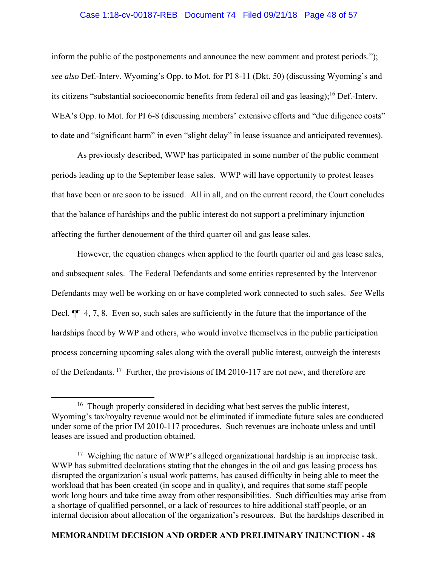# Case 1:18-cv-00187-REB Document 74 Filed 09/21/18 Page 48 of 57

inform the public of the postponements and announce the new comment and protest periods."); *see also* Def.-Interv. Wyoming's Opp. to Mot. for PI 8-11 (Dkt. 50) (discussing Wyoming's and its citizens "substantial socioeconomic benefits from federal oil and gas leasing);<sup>16</sup> Def.-Interv. WEA's Opp. to Mot. for PI 6-8 (discussing members' extensive efforts and "due diligence costs" to date and "significant harm" in even "slight delay" in lease issuance and anticipated revenues).

 As previously described, WWP has participated in some number of the public comment periods leading up to the September lease sales. WWP will have opportunity to protest leases that have been or are soon to be issued. All in all, and on the current record, the Court concludes that the balance of hardships and the public interest do not support a preliminary injunction affecting the further denouement of the third quarter oil and gas lease sales.

 However, the equation changes when applied to the fourth quarter oil and gas lease sales, and subsequent sales. The Federal Defendants and some entities represented by the Intervenor Defendants may well be working on or have completed work connected to such sales. *See* Wells Decl.  $\P$  4, 7, 8. Even so, such sales are sufficiently in the future that the importance of the hardships faced by WWP and others, who would involve themselves in the public participation process concerning upcoming sales along with the overall public interest, outweigh the interests of the Defendants.<sup>17</sup> Further, the provisions of IM 2010-117 are not new, and therefore are

 $16$  Though properly considered in deciding what best serves the public interest, Wyoming's tax/royalty revenue would not be eliminated if immediate future sales are conducted under some of the prior IM 2010-117 procedures. Such revenues are inchoate unless and until leases are issued and production obtained.

<sup>&</sup>lt;sup>17</sup> Weighing the nature of WWP's alleged organizational hardship is an imprecise task. WWP has submitted declarations stating that the changes in the oil and gas leasing process has disrupted the organization's usual work patterns, has caused difficulty in being able to meet the workload that has been created (in scope and in quality), and requires that some staff people work long hours and take time away from other responsibilities. Such difficulties may arise from a shortage of qualified personnel, or a lack of resources to hire additional staff people, or an internal decision about allocation of the organization's resources. But the hardships described in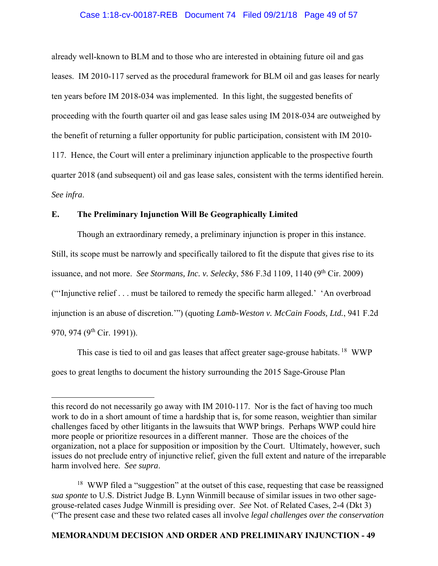# Case 1:18-cv-00187-REB Document 74 Filed 09/21/18 Page 49 of 57

already well-known to BLM and to those who are interested in obtaining future oil and gas leases. IM 2010-117 served as the procedural framework for BLM oil and gas leases for nearly ten years before IM 2018-034 was implemented. In this light, the suggested benefits of proceeding with the fourth quarter oil and gas lease sales using IM 2018-034 are outweighed by the benefit of returning a fuller opportunity for public participation, consistent with IM 2010- 117. Hence, the Court will enter a preliminary injunction applicable to the prospective fourth quarter 2018 (and subsequent) oil and gas lease sales, consistent with the terms identified herein. *See infra*.

# **E. The Preliminary Injunction Will Be Geographically Limited**

 $\overline{a}$ 

Though an extraordinary remedy, a preliminary injunction is proper in this instance. Still, its scope must be narrowly and specifically tailored to fit the dispute that gives rise to its issuance, and not more. *See Stormans, Inc. v. Selecky*, 586 F.3d 1109, 1140 ( $9<sup>th</sup> Cir. 2009$ ) ("'Injunctive relief . . . must be tailored to remedy the specific harm alleged.' 'An overbroad injunction is an abuse of discretion.'") (quoting *Lamb-Weston v. McCain Foods, Ltd.*, 941 F.2d 970, 974 (9<sup>th</sup> Cir. 1991)).

This case is tied to oil and gas leases that affect greater sage-grouse habitats.<sup>18</sup> WWP goes to great lengths to document the history surrounding the 2015 Sage-Grouse Plan

this record do not necessarily go away with IM 2010-117. Nor is the fact of having too much work to do in a short amount of time a hardship that is, for some reason, weightier than similar challenges faced by other litigants in the lawsuits that WWP brings. Perhaps WWP could hire more people or prioritize resources in a different manner. Those are the choices of the organization, not a place for supposition or imposition by the Court. Ultimately, however, such issues do not preclude entry of injunctive relief, given the full extent and nature of the irreparable harm involved here. *See supra*.

<sup>&</sup>lt;sup>18</sup> WWP filed a "suggestion" at the outset of this case, requesting that case be reassigned *sua sponte* to U.S. District Judge B. Lynn Winmill because of similar issues in two other sagegrouse-related cases Judge Winmill is presiding over. *See* Not. of Related Cases, 2-4 (Dkt 3) ("The present case and these two related cases all involve *legal challenges over the conservation*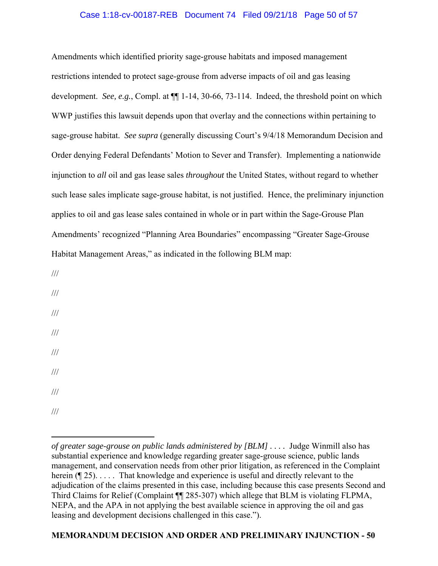# Case 1:18-cv-00187-REB Document 74 Filed 09/21/18 Page 50 of 57

Amendments which identified priority sage-grouse habitats and imposed management restrictions intended to protect sage-grouse from adverse impacts of oil and gas leasing development. *See, e.g.*, Compl. at ¶¶ 1-14, 30-66, 73-114. Indeed, the threshold point on which WWP justifies this lawsuit depends upon that overlay and the connections within pertaining to sage-grouse habitat. *See supra* (generally discussing Court's 9/4/18 Memorandum Decision and Order denying Federal Defendants' Motion to Sever and Transfer). Implementing a nationwide injunction to *all* oil and gas lease sales *throughout* the United States, without regard to whether such lease sales implicate sage-grouse habitat, is not justified. Hence, the preliminary injunction applies to oil and gas lease sales contained in whole or in part within the Sage-Grouse Plan Amendments' recognized "Planning Area Boundaries" encompassing "Greater Sage-Grouse Habitat Management Areas," as indicated in the following BLM map:

///

/// /// /// /// /// ///

///

 $\overline{a}$ *of greater sage-grouse on public lands administered by [BLM] ....* Judge Winmill also has substantial experience and knowledge regarding greater sage-grouse science, public lands management, and conservation needs from other prior litigation, as referenced in the Complaint herein (¶ 25).... That knowledge and experience is useful and directly relevant to the adjudication of the claims presented in this case, including because this case presents Second and Third Claims for Relief (Complaint ¶¶ 285-307) which allege that BLM is violating FLPMA, NEPA, and the APA in not applying the best available science in approving the oil and gas leasing and development decisions challenged in this case.").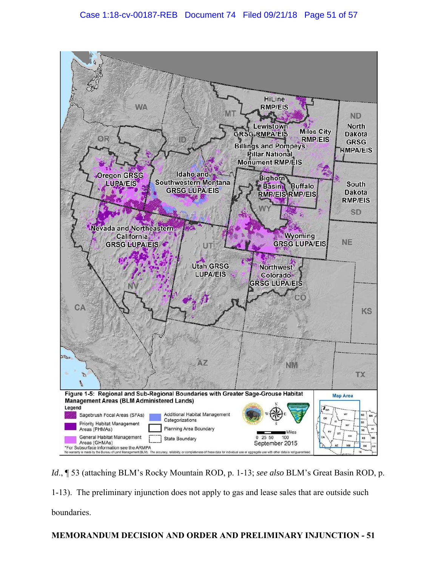

*Id*., ¶ 53 (attaching BLM's Rocky Mountain ROD, p. 1-13; *see also* BLM's Great Basin ROD, p.

1-13). The preliminary injunction does not apply to gas and lease sales that are outside such

boundaries.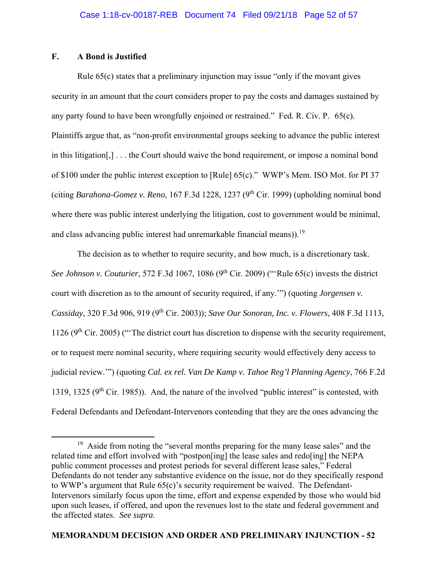# **F. A Bond is Justified**

 Rule 65(c) states that a preliminary injunction may issue "only if the movant gives security in an amount that the court considers proper to pay the costs and damages sustained by any party found to have been wrongfully enjoined or restrained." Fed. R. Civ. P. 65(c). Plaintiffs argue that, as "non-profit environmental groups seeking to advance the public interest in this litigation[,] . . . the Court should waive the bond requirement, or impose a nominal bond of \$100 under the public interest exception to [Rule] 65(c)." WWP's Mem. ISO Mot. for PI 37 (citing *Barahona-Gomez v. Reno*, 167 F.3d 1228, 1237 (9th Cir. 1999) (upholding nominal bond where there was public interest underlying the litigation, cost to government would be minimal, and class advancing public interest had unremarkable financial means)).<sup>19</sup>

 The decision as to whether to require security, and how much, is a discretionary task. *See Johnson v. Couturier*, 572 F.3d 1067, 1086 (9<sup>th</sup> Cir. 2009) ("Rule 65(c) invests the district court with discretion as to the amount of security required, if any.'") (quoting *Jorgensen v. Cassiday*, 320 F.3d 906, 919 (9th Cir. 2003)); *Save Our Sonoran, Inc. v. Flowers*, 408 F.3d 1113, 1126 ( $9<sup>th</sup>$  Cir. 2005) ("The district court has discretion to dispense with the security requirement, or to request mere nominal security, where requiring security would effectively deny access to judicial review.'") (quoting *Cal. ex rel. Van De Kamp v. Tahoe Reg'l Planning Agency*, 766 F.2d 1319, 1325 ( $9<sup>th</sup>$  Cir. 1985)). And, the nature of the involved "public interest" is contested, with Federal Defendants and Defendant-Intervenors contending that they are the ones advancing the

<sup>&</sup>lt;sup>19</sup> Aside from noting the "several months preparing for the many lease sales" and the related time and effort involved with "postpon[ing] the lease sales and redo[ing] the NEPA public comment processes and protest periods for several different lease sales," Federal Defendants do not tender any substantive evidence on the issue, nor do they specifically respond to WWP's argument that Rule 65(c)'s security requirement be waived. The Defendant-Intervenors similarly focus upon the time, effort and expense expended by those who would bid upon such leases, if offered, and upon the revenues lost to the state and federal government and the affected states. *See supra*.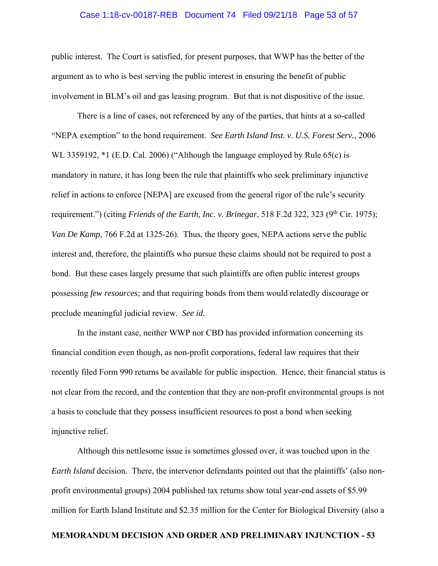# Case 1:18-cv-00187-REB Document 74 Filed 09/21/18 Page 53 of 57

public interest. The Court is satisfied, for present purposes, that WWP has the better of the argument as to who is best serving the public interest in ensuring the benefit of public involvement in BLM's oil and gas leasing program. But that is not dispositive of the issue.

 There is a line of cases, not referenced by any of the parties, that hints at a so-called "NEPA exemption" to the bond requirement. *See Earth Island Inst. v. U.S. Forest Serv.*, 2006 WL 3359192, \*1 (E.D. Cal. 2006) ("Although the language employed by Rule 65(c) is mandatory in nature, it has long been the rule that plaintiffs who seek preliminary injunctive relief in actions to enforce [NEPA] are excused from the general rigor of the rule's security requirement.") (citing *Friends of the Earth, Inc. v. Brinegar*, 518 F.2d 322, 323 (9<sup>th</sup> Cir. 1975); *Van De Kamp*, 766 F.2d at 1325-26). Thus, the theory goes, NEPA actions serve the public interest and, therefore, the plaintiffs who pursue these claims should not be required to post a bond. But these cases largely presume that such plaintiffs are often public interest groups possessing *few resources*; and that requiring bonds from them would relatedly discourage or preclude meaningful judicial review. *See id*.

 In the instant case, neither WWP nor CBD has provided information concerning its financial condition even though, as non-profit corporations, federal law requires that their recently filed Form 990 returns be available for public inspection. Hence, their financial status is not clear from the record, and the contention that they are non-profit environmental groups is not a basis to conclude that they possess insufficient resources to post a bond when seeking injunctive relief.

 Although this nettlesome issue is sometimes glossed over, it was touched upon in the *Earth Island* decision. There, the intervenor defendants pointed out that the plaintiffs' (also nonprofit environmental groups) 2004 published tax returns show total year-end assets of \$5.99 million for Earth Island Institute and \$2.35 million for the Center for Biological Diversity (also a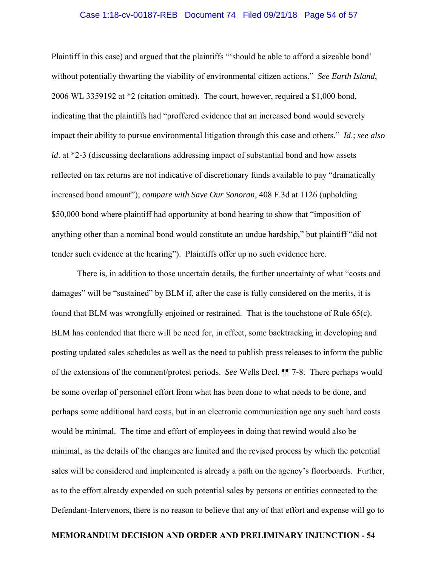#### Case 1:18-cv-00187-REB Document 74 Filed 09/21/18 Page 54 of 57

Plaintiff in this case) and argued that the plaintiffs "'should be able to afford a sizeable bond' without potentially thwarting the viability of environmental citizen actions." *See Earth Island*, 2006 WL 3359192 at \*2 (citation omitted). The court, however, required a \$1,000 bond, indicating that the plaintiffs had "proffered evidence that an increased bond would severely impact their ability to pursue environmental litigation through this case and others." *Id*.; *see also id*. at \*2-3 (discussing declarations addressing impact of substantial bond and how assets reflected on tax returns are not indicative of discretionary funds available to pay "dramatically increased bond amount"); *compare with Save Our Sonoran*, 408 F.3d at 1126 (upholding \$50,000 bond where plaintiff had opportunity at bond hearing to show that "imposition of anything other than a nominal bond would constitute an undue hardship," but plaintiff "did not tender such evidence at the hearing"). Plaintiffs offer up no such evidence here.

 There is, in addition to those uncertain details, the further uncertainty of what "costs and damages" will be "sustained" by BLM if, after the case is fully considered on the merits, it is found that BLM was wrongfully enjoined or restrained. That is the touchstone of Rule 65(c). BLM has contended that there will be need for, in effect, some backtracking in developing and posting updated sales schedules as well as the need to publish press releases to inform the public of the extensions of the comment/protest periods. *See* Wells Decl. ¶¶ 7-8. There perhaps would be some overlap of personnel effort from what has been done to what needs to be done, and perhaps some additional hard costs, but in an electronic communication age any such hard costs would be minimal. The time and effort of employees in doing that rewind would also be minimal, as the details of the changes are limited and the revised process by which the potential sales will be considered and implemented is already a path on the agency's floorboards. Further, as to the effort already expended on such potential sales by persons or entities connected to the Defendant-Intervenors, there is no reason to believe that any of that effort and expense will go to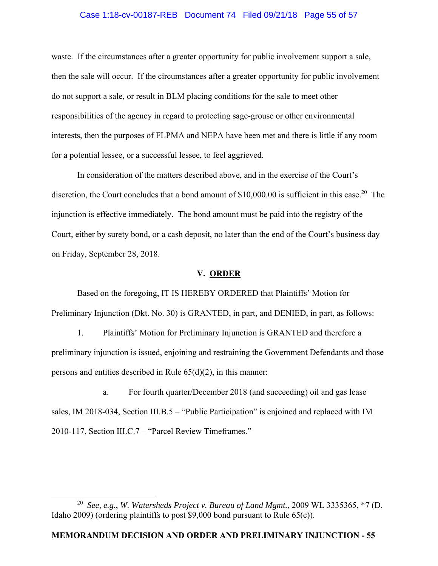### Case 1:18-cv-00187-REB Document 74 Filed 09/21/18 Page 55 of 57

waste. If the circumstances after a greater opportunity for public involvement support a sale, then the sale will occur. If the circumstances after a greater opportunity for public involvement do not support a sale, or result in BLM placing conditions for the sale to meet other responsibilities of the agency in regard to protecting sage-grouse or other environmental interests, then the purposes of FLPMA and NEPA have been met and there is little if any room for a potential lessee, or a successful lessee, to feel aggrieved.

 In consideration of the matters described above, and in the exercise of the Court's discretion, the Court concludes that a bond amount of  $$10,000.00$  is sufficient in this case.<sup>20</sup> The injunction is effective immediately. The bond amount must be paid into the registry of the Court, either by surety bond, or a cash deposit, no later than the end of the Court's business day on Friday, September 28, 2018.

#### **V. ORDER**

 Based on the foregoing, IT IS HEREBY ORDERED that Plaintiffs' Motion for Preliminary Injunction (Dkt. No. 30) is GRANTED, in part, and DENIED, in part, as follows:

 1. Plaintiffs' Motion for Preliminary Injunction is GRANTED and therefore a preliminary injunction is issued, enjoining and restraining the Government Defendants and those persons and entities described in Rule  $65(d)(2)$ , in this manner:

 a. For fourth quarter/December 2018 (and succeeding) oil and gas lease sales, IM 2018-034, Section III.B.5 – "Public Participation" is enjoined and replaced with IM 2010-117, Section III.C.7 – "Parcel Review Timeframes."

 <sup>20</sup> *See, e.g.*, *W. Watersheds Project v. Bureau of Land Mgmt.*, 2009 WL 3335365, \*7 (D. Idaho 2009) (ordering plaintiffs to post \$9,000 bond pursuant to Rule 65(c)).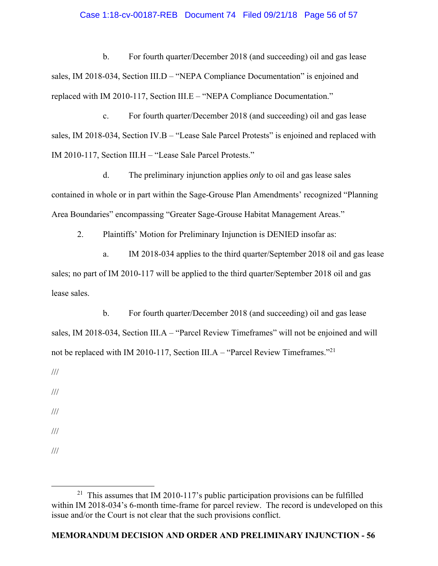## Case 1:18-cv-00187-REB Document 74 Filed 09/21/18 Page 56 of 57

 b. For fourth quarter/December 2018 (and succeeding) oil and gas lease sales, IM 2018-034, Section III.D – "NEPA Compliance Documentation" is enjoined and replaced with IM 2010-117, Section III.E – "NEPA Compliance Documentation."

 c. For fourth quarter/December 2018 (and succeeding) oil and gas lease sales, IM 2018-034, Section IV.B – "Lease Sale Parcel Protests" is enjoined and replaced with IM 2010-117, Section III.H – "Lease Sale Parcel Protests."

 d. The preliminary injunction applies *only* to oil and gas lease sales contained in whole or in part within the Sage-Grouse Plan Amendments' recognized "Planning Area Boundaries" encompassing "Greater Sage-Grouse Habitat Management Areas."

2. Plaintiffs' Motion for Preliminary Injunction is DENIED insofar as:

 a. IM 2018-034 applies to the third quarter/September 2018 oil and gas lease sales; no part of IM 2010-117 will be applied to the third quarter/September 2018 oil and gas lease sales.

 b. For fourth quarter/December 2018 (and succeeding) oil and gas lease sales, IM 2018-034, Section III.A – "Parcel Review Timeframes" will not be enjoined and will not be replaced with IM 2010-117, Section III.A – "Parcel Review Timeframes."<sup>21</sup>

///

///

///

///

///

<sup>&</sup>lt;sup>21</sup> This assumes that IM 2010-117's public participation provisions can be fulfilled within IM 2018-034's 6-month time-frame for parcel review. The record is undeveloped on this issue and/or the Court is not clear that the such provisions conflict.